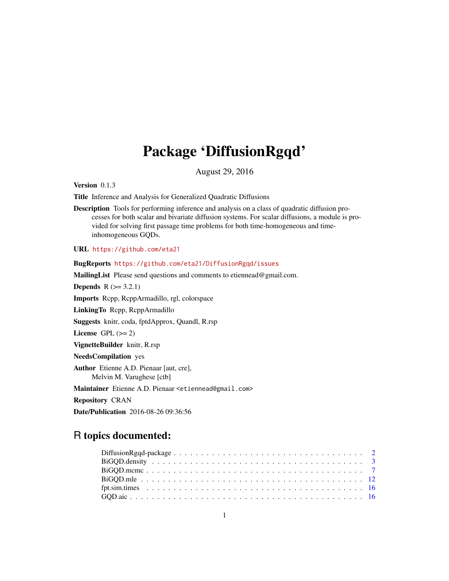# Package 'DiffusionRgqd'

August 29, 2016

<span id="page-0-0"></span>Version 0.1.3

Title Inference and Analysis for Generalized Quadratic Diffusions

Description Tools for performing inference and analysis on a class of quadratic diffusion processes for both scalar and bivariate diffusion systems. For scalar diffusions, a module is provided for solving first passage time problems for both time-homogeneous and timeinhomogeneous GQDs.

URL <https://github.com/eta21>

BugReports <https://github.com/eta21/DiffusionRgqd/issues> MailingList Please send questions and comments to etiennead@gmail.com. **Depends**  $R$  ( $>= 3.2.1$ ) Imports Rcpp, RcppArmadillo, rgl, colorspace LinkingTo Rcpp, RcppArmadillo Suggests knitr, coda, fptdApprox, Quandl, R.rsp License GPL  $(>= 2)$ VignetteBuilder knitr, R.rsp NeedsCompilation yes Author Etienne A.D. Pienaar [aut, cre], Melvin M. Varughese [ctb] Maintainer Etienne A.D. Pienaar <etiennead@gmail.com> Repository CRAN Date/Publication 2016-08-26 09:36:56

# R topics documented: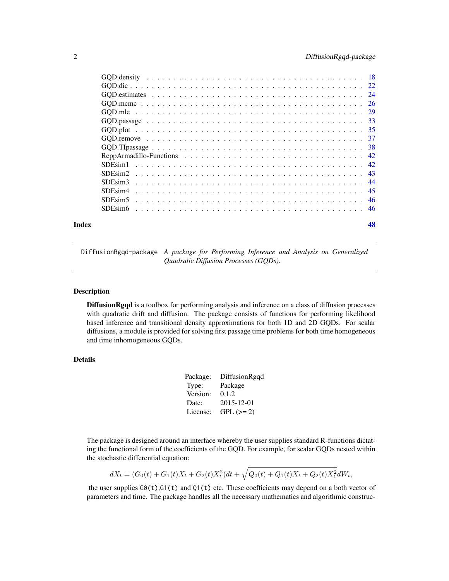<span id="page-1-0"></span>

|       | SDE <sub>sim4</sub>  |    |
|-------|----------------------|----|
|       | SDE <sub>sim</sub> 5 |    |
|       |                      |    |
| Index |                      | 48 |

DiffusionRgqd-package *A package for Performing Inference and Analysis on Generalized Quadratic Diffusion Processes (GQDs).*

# Description

DiffusionRgqd is a toolbox for performing analysis and inference on a class of diffusion processes with quadratic drift and diffusion. The package consists of functions for performing likelihood based inference and transitional density approximations for both 1D and 2D GQDs. For scalar diffusions, a module is provided for solving first passage time problems for both time homogeneous and time inhomogeneous GQDs.

### Details

| Package: | DiffusionRgqd    |
|----------|------------------|
| Type:    | Package          |
| Version: | 0.1.2            |
| Date:    | $2015 - 12 - 01$ |
| License: | $GPL (= 2)$      |

The package is designed around an interface whereby the user supplies standard R-functions dictating the functional form of the coefficients of the GQD. For example, for scalar GQDs nested within the stochastic differential equation:

$$
dX_t = (G_0(t) + G_1(t)X_t + G_2(t)X_t^2)dt + \sqrt{Q_0(t) + Q_1(t)X_t + Q_2(t)X_t^2}dW_t,
$$

the user supplies  $G(0,t),G(1,t)$  and  $Q(1,t)$  etc. These coefficients may depend on a both vector of parameters and time. The package handles all the necessary mathematics and algorithmic construc-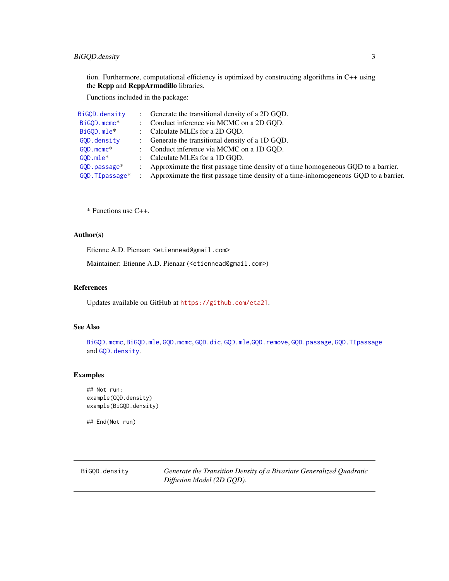# <span id="page-2-0"></span>BiGQD.density 3

tion. Furthermore, computational efficiency is optimized by constructing algorithms in C++ using the Rcpp and RcppArmadillo libraries.

Functions included in the package:

| BiGOD.density         | : Generate the transitional density of a 2D GQD.                                     |
|-----------------------|--------------------------------------------------------------------------------------|
| BiGOD.mcmc*           | : Conduct inference via MCMC on a 2D GQD.                                            |
| BiGOD.mle*            | : Calculate MLEs for a 2D GOD.                                                       |
| GOD.density           | Generate the transitional density of a 1D GQD.                                       |
| GOD.mcmc <sup>*</sup> | : Conduct inference via MCMC on a 1D GQD.                                            |
| $GOD.mle*$            | : Calculate MLEs for a 1D GOD.                                                       |
| GQD.passage*          | Approximate the first passage time density of a time homogeneous GQD to a barrier.   |
| GQD.TIpassage*        | Approximate the first passage time density of a time-inhomogeneous GQD to a barrier. |

\* Functions use C++.

# Author(s)

Etienne A.D. Pienaar: <etiennead@gmail.com>

Maintainer: Etienne A.D. Pienaar (<etiennead@gmail.com>)

# References

Updates available on GitHub at <https://github.com/eta21>.

# See Also

[BiGQD.mcmc](#page-6-1), [BiGQD.mle](#page-11-1), [GQD.mcmc](#page-25-1), [GQD.dic](#page-21-1), [GQD.mle](#page-28-1),[GQD.remove](#page-36-1), [GQD.passage](#page-32-1), [GQD.TIpassage](#page-37-1) and [GQD.density](#page-17-1).

# Examples

## Not run: example(GQD.density) example(BiGQD.density)

## End(Not run)

<span id="page-2-1"></span>BiGQD.density *Generate the Transition Density of a Bivariate Generalized Quadratic Diffusion Model (2D GQD).*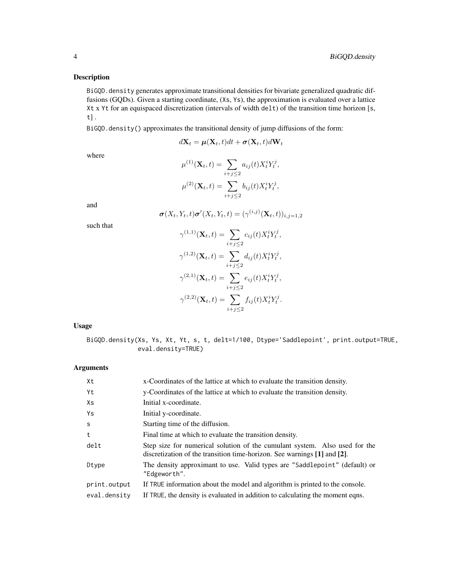# Description

BiGQD.density generates approximate transitional densities for bivariate generalized quadratic diffusions (GQDs). Given a starting coordinate, (Xs, Ys), the approximation is evaluated over a lattice Xt x Yt for an equispaced discretization (intervals of width delt) of the transition time horizon [s, t] .

BiGQD.density() approximates the transitional density of jump diffusions of the form:

$$
d\mathbf{X}_t = \boldsymbol{\mu}(\mathbf{X}_t, t)dt + \boldsymbol{\sigma}(\mathbf{X}_t, t)d\mathbf{W}_t
$$

where

$$
\mu^{(1)}(\mathbf{X}_t, t) = \sum_{i+j \le 2} a_{ij}(t) X_t^i Y_t^j,
$$
  

$$
\mu^{(2)}(\mathbf{X}_t, t) = \sum_{i+j \le 2} b_{ij}(t) X_t^i Y_t^j,
$$

and

$$
\boldsymbol{\sigma}(X_t,Y_t,t)\boldsymbol{\sigma}'(X_t,Y_t,t)=(\gamma^{(i,j)}(\mathbf{X}_t,t))_{i,j=1,2}
$$

such that

$$
\gamma^{(1,1)}(\mathbf{X}_t, t) = \sum_{i+j \leq 2} c_{ij}(t) X_t^i Y_t^j,
$$
  

$$
\gamma^{(1,2)}(\mathbf{X}_t, t) = \sum_{i+j \leq 2} d_{ij}(t) X_t^i Y_t^j,
$$
  

$$
\gamma^{(2,1)}(\mathbf{X}_t, t) = \sum_{i+j \leq 2} e_{ij}(t) X_t^i Y_t^j,
$$
  

$$
\gamma^{(2,2)}(\mathbf{X}_t, t) = \sum_{i+j \leq 2} f_{ij}(t) X_t^i Y_t^j.
$$

# Usage

BiGQD.density(Xs, Ys, Xt, Yt, s, t, delt=1/100, Dtype='Saddlepoint', print.output=TRUE, eval.density=TRUE)

# Arguments

| Xt           | x-Coordinates of the lattice at which to evaluate the transition density.                                                                              |  |
|--------------|--------------------------------------------------------------------------------------------------------------------------------------------------------|--|
| Yt           | y-Coordinates of the lattice at which to evaluate the transition density.                                                                              |  |
| Xs           | Initial x-coordinate.                                                                                                                                  |  |
| Ys           | Initial y-coordinate.                                                                                                                                  |  |
| <sub>S</sub> | Starting time of the diffusion.                                                                                                                        |  |
| t            | Final time at which to evaluate the transition density.                                                                                                |  |
| delt         | Step size for numerical solution of the cumulant system. Also used for the<br>discretization of the transition time-horizon. See warnings [1] and [2]. |  |
| Dtype        | The density approximant to use. Valid types are "Saddlepoint" (default) or<br>"Edgeworth".                                                             |  |
| print.output | If TRUE information about the model and algorithm is printed to the console.                                                                           |  |
| eval.density | If TRUE, the density is evaluated in addition to calculating the moment eqns.                                                                          |  |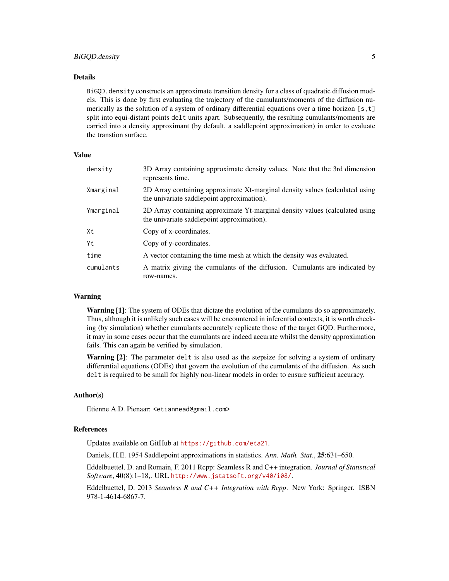#### Details

BiGQD.density constructs an approximate transition density for a class of quadratic diffusion models. This is done by first evaluating the trajectory of the cumulants/moments of the diffusion numerically as the solution of a system of ordinary differential equations over a time horizon  $[s, t]$ split into equi-distant points delt units apart. Subsequently, the resulting cumulants/moments are carried into a density approximant (by default, a saddlepoint approximation) in order to evaluate the transtion surface.

#### Value

| density   | 3D Array containing approximate density values. Note that the 3rd dimension<br>represents time.                            |  |
|-----------|----------------------------------------------------------------------------------------------------------------------------|--|
| Xmarginal | 2D Array containing approximate Xt-marginal density values (calculated using<br>the univariate saddlepoint approximation). |  |
| Ymarginal | 2D Array containing approximate Yt-marginal density values (calculated using<br>the univariate saddlepoint approximation). |  |
| Xt        | Copy of x-coordinates.                                                                                                     |  |
| Yt.       | Copy of y-coordinates.                                                                                                     |  |
| time      | A vector containing the time mesh at which the density was evaluated.                                                      |  |
| cumulants | A matrix giving the cumulants of the diffusion. Cumulants are indicated by<br>row-names.                                   |  |

# Warning

Warning [1]: The system of ODEs that dictate the evolution of the cumulants do so approximately. Thus, although it is unlikely such cases will be encountered in inferential contexts, it is worth checking (by simulation) whether cumulants accurately replicate those of the target GQD. Furthermore, it may in some cases occur that the cumulants are indeed accurate whilst the density approximation fails. This can again be verified by simulation.

Warning [2]: The parameter delt is also used as the stepsize for solving a system of ordinary differential equations (ODEs) that govern the evolution of the cumulants of the diffusion. As such delt is required to be small for highly non-linear models in order to ensure sufficient accuracy.

#### Author(s)

Etienne A.D. Pienaar: <etiannead@gmail.com>

#### References

Updates available on GitHub at <https://github.com/eta21>.

Daniels, H.E. 1954 Saddlepoint approximations in statistics. *Ann. Math. Stat.*, 25:631–650.

Eddelbuettel, D. and Romain, F. 2011 Rcpp: Seamless R and C++ integration. *Journal of Statistical Software*, 40(8):1–18,. URL <http://www.jstatsoft.org/v40/i08/>.

Eddelbuettel, D. 2013 *Seamless R and C++ Integration with Rcpp*. New York: Springer. ISBN 978-1-4614-6867-7.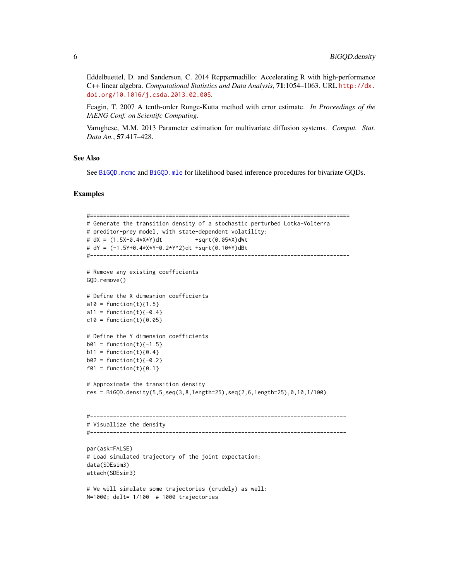<span id="page-5-0"></span>Eddelbuettel, D. and Sanderson, C. 2014 Rcpparmadillo: Accelerating R with high-performance C++ linear algebra. *Computational Statistics and Data Analysis*, 71:1054–1063. URL [http://dx.](http://dx.doi.org/10.1016/j.csda.2013.02.005) [doi.org/10.1016/j.csda.2013.02.005](http://dx.doi.org/10.1016/j.csda.2013.02.005).

Feagin, T. 2007 A tenth-order Runge-Kutta method with error estimate. *In Proceedings of the IAENG Conf. on Scientifc Computing*.

Varughese, M.M. 2013 Parameter estimation for multivariate diffusion systems. *Comput. Stat. Data An.*, 57:417–428.

#### See Also

See [BiGQD.mcmc](#page-6-1) and [BiGQD.mle](#page-11-1) for likelihood based inference procedures for bivariate GQDs.

```
#===============================================================================
# Generate the transition density of a stochastic perturbed Lotka-Volterra
# preditor-prey model, with state-dependent volatility:
# dX = (1.5X-0.4*X*Y)dt +sqrt(0.05*X)dWt
# dY = (-1.5Y+0.4*X*Y-0.2*Y^2)dt +sqrt(0.10*Y)dBt
#-------------------------------------------------------------------------------
# Remove any existing coefficients
GQD.remove()
# Define the X dimesnion coefficients
a10 = function(t){1.5}a11 = function(t){ -0.4}c10 = function(t){0.05}# Define the Y dimension coefficients
b01 = function(t){-1.5}b11 = function(t){0.4}b02 = function(t){-0.2}f01 = function(t){0.1}# Approximate the transition density
res = BiGQD.density(5,5,seq(3,8,length=25),seq(2,6,length=25),0,10,1/100)
#------------------------------------------------------------------------------
# Visuallize the density
#------------------------------------------------------------------------------
par(ask=FALSE)
# Load simulated trajectory of the joint expectation:
data(SDEsim3)
attach(SDEsim3)
# We will simulate some trajectories (crudely) as well:
N=1000; delt= 1/100 # 1000 trajectories
```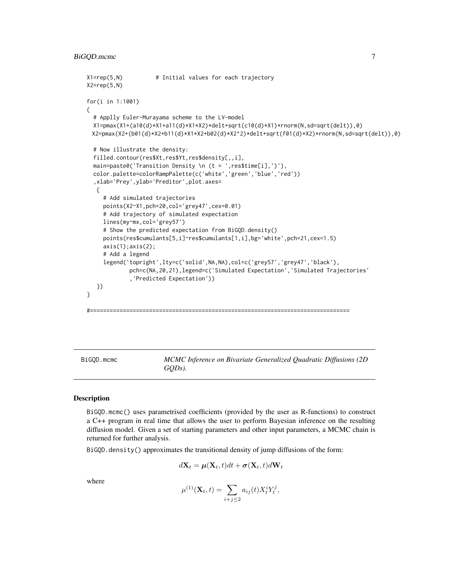```
X1 = rep(5,N) # Initial values for each trajectory
X2=rep(5,N)
for(i in 1:1001)
{
 # Applly Euler-Murayama scheme to the LV-model
 X1=pmax(X1+(a10(d)*X1+a11(d)*X1*X2)*delt+sqrt(c10(d)*X1)*rnorm(N,sd=sqrt(delt)),0)
 X2=pmax(X2+(b01(d)*X2+b11(d)*X1*X2+b02(d)*X2^2)*delt+sqrt(f01(d)*X2)*rnorm(N,sd=sqrt(delt)),0)
 # Now illustrate the density:
 filled.contour(res$Xt,res$Yt,res$density[,,i],
 main=paste0('Transition Density \n (t = ',res$time[i],')'),
 color.palette=colorRampPalette(c('white','green','blue','red'))
  ,xlab='Prey',ylab='Preditor',plot.axes=
  {
     # Add simulated trajectories
     points(X2~X1,pch=20,col='grey47',cex=0.01)
     # Add trajectory of simulated expectation
     lines(my~mx,col='grey57')
     # Show the predicted expectation from BiGQD.density()
     points(res$cumulants[5,i]~res$cumulants[1,i],bg='white',pch=21,cex=1.5)
     axis(1);axis(2);# Add a legend
     legend('topright',lty=c('solid',NA,NA),col=c('grey57','grey47','black'),
            pch=c(NA,20,21),legend=c('Simulated Expectation','Simulated Trajectories'
             ,'Predicted Expectation'))
   })
}
#===============================================================================
```
<span id="page-6-1"></span>BiGQD.mcmc *MCMC Inference on Bivariate Generalized Quadratic Diffusions (2D GQDs).*

# Description

BiGQD.mcmc() uses parametrised coefficients (provided by the user as R-functions) to construct a C++ program in real time that allows the user to perform Bayesian inference on the resulting diffusion model. Given a set of starting parameters and other input parameters, a MCMC chain is returned for further analysis.

BiGQD.density() approximates the transitional density of jump diffusions of the form:

$$
d\mathbf{X}_t = \boldsymbol{\mu}(\mathbf{X}_t, t)dt + \boldsymbol{\sigma}(\mathbf{X}_t, t)d\mathbf{W}_t
$$

where

$$
\mu^{(1)}(\mathbf{X}_t, t) = \sum_{i+j \leq 2} a_{ij}(t) X_t^i Y_t^j,
$$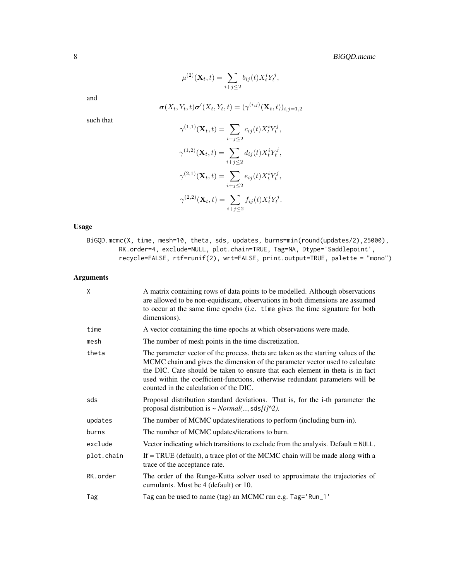$\mu^{(2)}(\mathbf{X}_t, t) = \sum$  $i+j\leq 2$  $b_{ij}(t)X_t^iY_t^j,$ 

and

$$
\boldsymbol{\sigma}(X_t,Y_t,t)\boldsymbol{\sigma}'(X_t,Y_t,t)=(\gamma^{(i,j)}(\mathbf{X}_t,t))_{i,j=1,2}
$$

such that

$$
\gamma^{(1,1)}(\mathbf{X}_t, t) = \sum_{i+j \leq 2} c_{ij}(t) X_t^i Y_t^j,
$$
  

$$
\gamma^{(1,2)}(\mathbf{X}_t, t) = \sum_{i+j \leq 2} d_{ij}(t) X_t^i Y_t^j,
$$
  

$$
\gamma^{(2,1)}(\mathbf{X}_t, t) = \sum_{i+j \leq 2} e_{ij}(t) X_t^i Y_t^j,
$$
  

$$
\gamma^{(2,2)}(\mathbf{X}_t, t) = \sum_{i+j \leq 2} f_{ij}(t) X_t^i Y_t^j.
$$

# Usage

BiGQD.mcmc(X, time, mesh=10, theta, sds, updates, burns=min(round(updates/2),25000), RK.order=4, exclude=NULL, plot.chain=TRUE, Tag=NA, Dtype='Saddlepoint', recycle=FALSE, rtf=runif(2), wrt=FALSE, print.output=TRUE, palette = "mono")

# Arguments

| X          | A matrix containing rows of data points to be modelled. Although observations<br>are allowed to be non-equidistant, observations in both dimensions are assumed<br>to occur at the same time epochs (i.e. time gives the time signature for both<br>dimensions).                                                                                                               |
|------------|--------------------------------------------------------------------------------------------------------------------------------------------------------------------------------------------------------------------------------------------------------------------------------------------------------------------------------------------------------------------------------|
| time       | A vector containing the time epochs at which observations were made.                                                                                                                                                                                                                                                                                                           |
| mesh       | The number of mesh points in the time discretization.                                                                                                                                                                                                                                                                                                                          |
| theta      | The parameter vector of the process, theta are taken as the starting values of the<br>MCMC chain and gives the dimension of the parameter vector used to calculate<br>the DIC. Care should be taken to ensure that each element in theta is in fact<br>used within the coefficient-functions, otherwise redundant parameters will be<br>counted in the calculation of the DIC. |
| sds        | Proposal distribution standard deviations. That is, for the i-th parameter the<br>proposal distribution is $\sim Normal(, sds[i] \sim 2$ ).                                                                                                                                                                                                                                    |
| updates    | The number of MCMC updates/iterations to perform (including burn-in).                                                                                                                                                                                                                                                                                                          |
| burns      | The number of MCMC updates/iterations to burn.                                                                                                                                                                                                                                                                                                                                 |
| exclude    | Vector indicating which transitions to exclude from the analysis. Default = NULL.                                                                                                                                                                                                                                                                                              |
| plot.chain | If = TRUE (default), a trace plot of the MCMC chain will be made along with a<br>trace of the acceptance rate.                                                                                                                                                                                                                                                                 |
| RK.order   | The order of the Runge-Kutta solver used to approximate the trajectories of<br>cumulants. Must be 4 (default) or 10.                                                                                                                                                                                                                                                           |
| Tag        | Tag can be used to name (tag) an MCMC run e.g. Tag='Run_1'                                                                                                                                                                                                                                                                                                                     |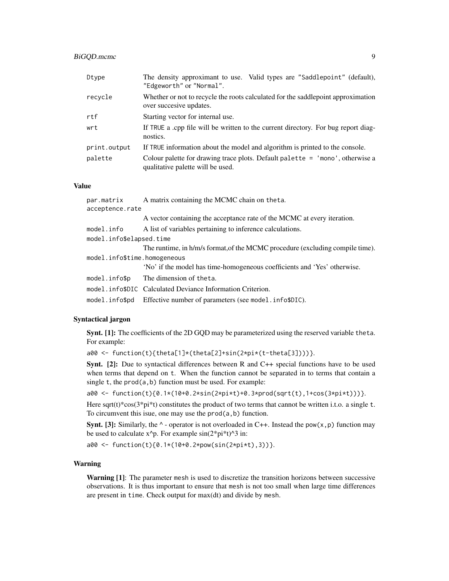# BiGQD.mcmc 9

| Dtype        | The density approximant to use. Valid types are "Saddlepoint" (default),<br>"Edgeworth" or "Normal".               |
|--------------|--------------------------------------------------------------------------------------------------------------------|
| recycle      | Whether or not to recycle the roots calculated for the saddlepoint approximation<br>over succesive updates.        |
| rtf          | Starting vector for internal use.                                                                                  |
| wrt          | If TRUE a cpp file will be written to the current directory. For bug report diag-<br>nostics.                      |
| print.output | If TRUE information about the model and algorithm is printed to the console.                                       |
| palette      | Colour palette for drawing trace plots. Default palette = 'mono', otherwise a<br>qualitative palette will be used. |

# Value

| par.matrix                   | A matrix containing the MCMC chain on theta.                                  |  |
|------------------------------|-------------------------------------------------------------------------------|--|
| acceptence.rate              |                                                                               |  |
|                              | A vector containing the acceptance rate of the MCMC at every iteration.       |  |
| model.info                   | A list of variables pertaining to inference calculations.                     |  |
| model.info\$elapsed.time     |                                                                               |  |
|                              | The runtime, in h/m/s format, of the MCMC procedure (excluding compile time). |  |
| model.info\$time.homogeneous |                                                                               |  |
|                              | 'No' if the model has time-homogeneous coefficients and 'Yes' otherwise.      |  |
| model.info\$p                | The dimension of theta.                                                       |  |
|                              | model.info\$DIC Calculated Deviance Information Criterion.                    |  |
| model.info\$pd               | Effective number of parameters (see model.info\$DIC).                         |  |
|                              |                                                                               |  |

# Syntactical jargon

Synt. [1]: The coefficients of the 2D GQD may be parameterized using the reserved variable theta. For example:

a00 <- function(t){theta[1]\*(theta[2]+sin(2\*pi\*(t-theta[3])))}.

Synt. [2]: Due to syntactical differences between R and C++ special functions have to be used when terms that depend on t. When the function cannot be separated in to terms that contain a single t, the prod(a,b) function must be used. For example:

a00 <- function(t){0.1\*(10+0.2\*sin(2\*pi\*t)+0.3\*prod(sqrt(t),1+cos(3\*pi\*t)))}.

Here sqrt(t)\*cos( $3$ \*pi\*t) constitutes the product of two terms that cannot be written i.t.o. a single t. To circumvent this isue, one may use the  $\text{prod}(a, b)$  function.

**Synt.** [3]: Similarly, the  $\land$  - operator is not overloaded in C++. Instead the pow(x, p) function may be used to calculate  $x^p$ . For example  $sin(2*pi*t)^3$  in:

a00 <- function(t){0.1\*(10+0.2\*pow(sin(2\*pi\*t),3))}.

# Warning

Warning [1]: The parameter mesh is used to discretize the transition horizons between successive observations. It is thus important to ensure that mesh is not too small when large time differences are present in time. Check output for max(dt) and divide by mesh.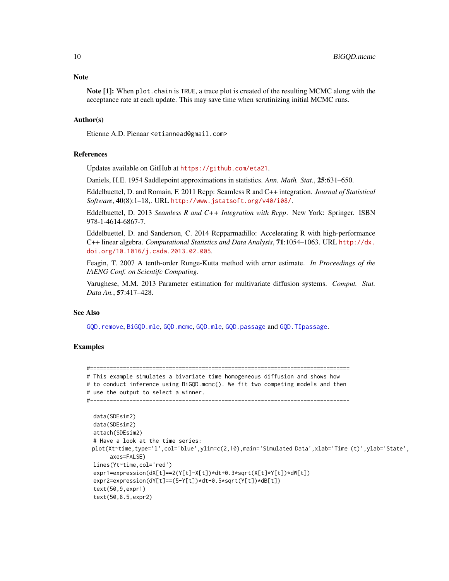#### <span id="page-9-0"></span>**Note**

Note [1]: When plot.chain is TRUE, a trace plot is created of the resulting MCMC along with the acceptance rate at each update. This may save time when scrutinizing initial MCMC runs.

# Author(s)

Etienne A.D. Pienaar <etiannead@gmail.com>

#### References

Updates available on GitHub at <https://github.com/eta21>.

Daniels, H.E. 1954 Saddlepoint approximations in statistics. *Ann. Math. Stat.*, 25:631–650.

Eddelbuettel, D. and Romain, F. 2011 Rcpp: Seamless R and C++ integration. *Journal of Statistical Software*, 40(8):1–18,. URL <http://www.jstatsoft.org/v40/i08/>.

Eddelbuettel, D. 2013 *Seamless R and C++ Integration with Rcpp*. New York: Springer. ISBN 978-1-4614-6867-7.

Eddelbuettel, D. and Sanderson, C. 2014 Rcpparmadillo: Accelerating R with high-performance C++ linear algebra. *Computational Statistics and Data Analysis*, 71:1054–1063. URL [http://dx.](http://dx.doi.org/10.1016/j.csda.2013.02.005) [doi.org/10.1016/j.csda.2013.02.005](http://dx.doi.org/10.1016/j.csda.2013.02.005).

Feagin, T. 2007 A tenth-order Runge-Kutta method with error estimate. *In Proceedings of the IAENG Conf. on Scientifc Computing*.

Varughese, M.M. 2013 Parameter estimation for multivariate diffusion systems. *Comput. Stat. Data An.*, 57:417–428.

#### See Also

[GQD.remove](#page-36-1), [BiGQD.mle](#page-11-1), [GQD.mcmc](#page-25-1), [GQD.mle](#page-28-1), [GQD.passage](#page-32-1) and [GQD.TIpassage](#page-37-1).

```
#===============================================================================
# This example simulates a bivariate time homogeneous diffusion and shows how
# to conduct inference using BiGQD.mcmc(). We fit two competing models and then
# use the output to select a winner.
#-------------------------------------------------------------------------------
 data(SDEsim2)
 data(SDEsim2)
 attach(SDEsim2)
 # Have a look at the time series:
 plot(Xt~time,type='l',col='blue',ylim=c(2,10),main='Simulated Data',xlab='Time (t)',ylab='State',
       axes=FALSE)
 lines(Yt~time,col='red')
 expr1=expression(dX[t]==2(Y[t]-X[t])*dt+0.3*sqrt(X[t]*Y[t])*dW[t])
 expr2=expression(dY[t]==(5-Y[t])*dt+0.5*sqrt(Y[t])*dB[t])
 text(50,9,expr1)
 text(50,8.5,expr2)
```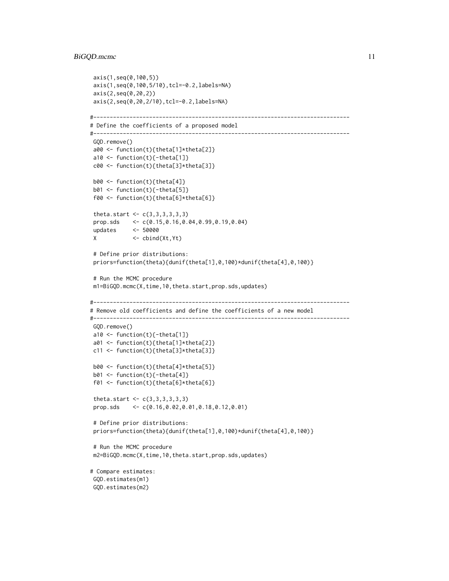# BiGQD.mcmc 11

```
axis(1,seq(0,100,5))
axis(1,seq(0,100,5/10),tcl=-0.2,labels=NA)
axis(2,seq(0,20,2))
axis(2,seq(0,20,2/10),tcl=-0.2,labels=NA)
#------------------------------------------------------------------------------
# Define the coefficients of a proposed model
#------------------------------------------------------------------------------
GQD.remove()
a00 <- function(t){theta[1]*theta[2]}
a10 \leftarrow function(t){}{-theta[1]}
c00 <- function(t){theta[3]*theta[3]}
b00 <- function(t){theta[4]}
b01 \leftarrow function(t){-theta[5]}
f00 <- function(t){theta[6]*theta[6]}
theta.start <- c(3,3,3,3,3,3)
prop.sds <- c(0.15,0.16,0.04,0.99,0.19,0.04)
updates <- 50000
X <- cbind(Xt,Yt)
# Define prior distributions:
priors=function(theta){dunif(theta[1],0,100)*dunif(theta[4],0,100)}
# Run the MCMC procedure
m1=BiGQD.mcmc(X,time,10,theta.start,prop.sds,updates)
#------------------------------------------------------------------------------
# Remove old coefficients and define the coefficients of a new model
#------------------------------------------------------------------------------
GQD.remove()
a10 \leftarrow function(t){}{-theta[1]}
a01 <- function(t){theta[1]*theta[2]}
c11 <- function(t){theta[3]*theta[3]}
b00 <- function(t){theta[4]*theta[5]}
b01 <- function(t){-theta[4]}
f01 <- function(t){theta[6]*theta[6]}
theta.start <-c(3,3,3,3,3,3)prop.sds <- c(0.16,0.02,0.01,0.18,0.12,0.01)
# Define prior distributions:
priors=function(theta){dunif(theta[1],0,100)*dunif(theta[4],0,100)}
# Run the MCMC procedure
m2=BiGQD.mcmc(X,time,10,theta.start,prop.sds,updates)
# Compare estimates:
GQD.estimates(m1)
GQD.estimates(m2)
```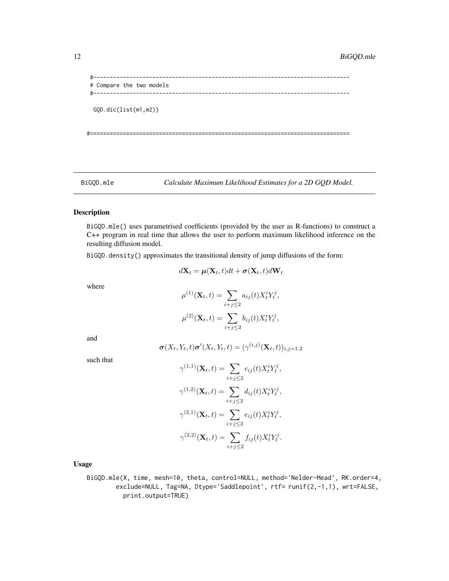```
#------------------------------------------------------------------------------
# Compare the two models
#------------------------------------------------------------------------------
 GQD.dic(list(m1,m2))
#===============================================================================
```
<span id="page-11-1"></span>BiGQD.mle *Calculate Maximum Likelihood Estimates for a 2D GQD Model.*

#### Description

BiGQD.mle() uses parametrised coefficients (provided by the user as R-functions) to construct a C++ program in real time that allows the user to perform maximum likelihood inference on the resulting diffusion model.

BiGQD.density() approximates the transitional density of jump diffusions of the form:

$$
d\mathbf{X}_t = \boldsymbol{\mu}(\mathbf{X}_t, t)dt + \boldsymbol{\sigma}(\mathbf{X}_t, t)d\mathbf{W}_t
$$

where

$$
\mu^{(1)}(\mathbf{X}_t, t) = \sum_{i+j \leq 2} a_{ij}(t) X_t^i Y_t^j,
$$
  

$$
\mu^{(2)}(\mathbf{X}_t, t) = \sum_{i+j \leq 2} b_{ij}(t) X_t^i Y_t^j,
$$

and

$$
\boldsymbol{\sigma}(X_t,Y_t,t)\boldsymbol{\sigma}'(X_t,Y_t,t)=(\gamma^{(i,j)}(\mathbf{X}_t,t))_{i,j=1,2}
$$

such that

$$
\gamma^{(1,1)}(\mathbf{X}_t, t) = \sum_{i+j \leq 2} c_{ij}(t) X_t^i Y_t^j,
$$
  

$$
\gamma^{(1,2)}(\mathbf{X}_t, t) = \sum_{i+j \leq 2} d_{ij}(t) X_t^i Y_t^j,
$$
  

$$
\gamma^{(2,1)}(\mathbf{X}_t, t) = \sum_{i+j \leq 2} e_{ij}(t) X_t^i Y_t^j,
$$
  

$$
\gamma^{(2,2)}(\mathbf{X}_t, t) = \sum_{i+j \leq 2} f_{ij}(t) X_t^i Y_t^j.
$$

Usage

BiGQD.mle(X, time, mesh=10, theta, control=NULL, method='Nelder-Mead', RK.order=4, exclude=NULL, Tag=NA, Dtype='Saddlepoint', rtf= runif(2,-1,1), wrt=FALSE, print.output=TRUE)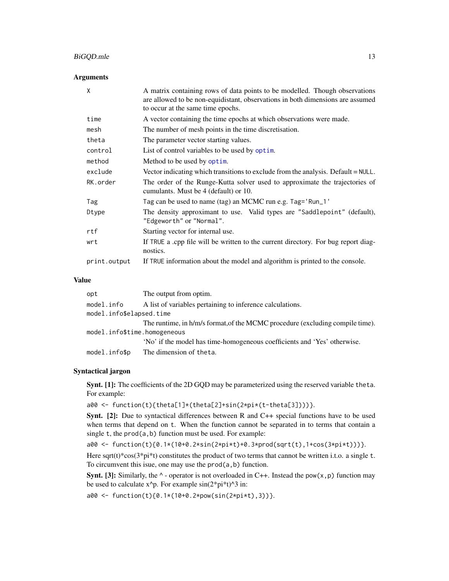# <span id="page-12-0"></span>BiGQD.mle 13

#### Arguments

| X            | A matrix containing rows of data points to be modelled. Though observations<br>are allowed to be non-equidistant, observations in both dimensions are assumed<br>to occur at the same time epochs. |  |
|--------------|----------------------------------------------------------------------------------------------------------------------------------------------------------------------------------------------------|--|
| time         | A vector containing the time epochs at which observations were made.                                                                                                                               |  |
| mesh         | The number of mesh points in the time discretisation.                                                                                                                                              |  |
| theta        | The parameter vector starting values.                                                                                                                                                              |  |
| control      | List of control variables to be used by optim.                                                                                                                                                     |  |
| method       | Method to be used by optim.                                                                                                                                                                        |  |
| exclude      | Vector indicating which transitions to exclude from the analysis. Default = NULL.                                                                                                                  |  |
| RK.order     | The order of the Runge-Kutta solver used to approximate the trajectories of<br>cumulants. Must be 4 (default) or 10.                                                                               |  |
| Tag          | Tag can be used to name (tag) an MCMC run e.g. Tag='Run_1'                                                                                                                                         |  |
| Dtype        | The density approximant to use. Valid types are "Saddlepoint" (default),<br>"Edgeworth" or "Normal".                                                                                               |  |
| rtf          | Starting vector for internal use.                                                                                                                                                                  |  |
| wrt          | If TRUE a cpp file will be written to the current directory. For bug report diag-<br>nostics.                                                                                                      |  |
| print.output | If TRUE information about the model and algorithm is printed to the console.                                                                                                                       |  |

# Value

| opt                          | The output from optim.                                                        |
|------------------------------|-------------------------------------------------------------------------------|
| model.info                   | A list of variables pertaining to inference calculations.                     |
| model.info\$elapsed.time     |                                                                               |
|                              | The runtime, in h/m/s format, of the MCMC procedure (excluding compile time). |
| model.info\$time.homogeneous |                                                                               |
|                              | 'No' if the model has time-homogeneous coefficients and 'Yes' otherwise.      |
| model.info\$p                | The dimension of theta.                                                       |

# Syntactical jargon

Synt. [1]: The coefficients of the 2D GQD may be parameterized using the reserved variable theta. For example:

a00 <- function(t){theta[1]\*(theta[2]+sin(2\*pi\*(t-theta[3])))}.

Synt. [2]: Due to syntactical differences between R and C++ special functions have to be used when terms that depend on t. When the function cannot be separated in to terms that contain a single t, the prod(a,b) function must be used. For example:

a00 <- function(t){0.1\*(10+0.2\*sin(2\*pi\*t)+0.3\*prod(sqrt(t),1+cos(3\*pi\*t)))}.

Here sqrt(t)\*cos(3\*pi\*t) constitutes the product of two terms that cannot be written i.t.o. a single t. To circumvent this isue, one may use the  $\text{prod}(a, b)$  function.

**Synt.** [3]: Similarly, the  $\land$  - operator is not overloaded in C++. Instead the pow(x, p) function may be used to calculate  $x^p$ . For example  $sin(2*pi*t)^3$  in:

a00 <- function(t){0.1\*(10+0.2\*pow(sin(2\*pi\*t),3))}.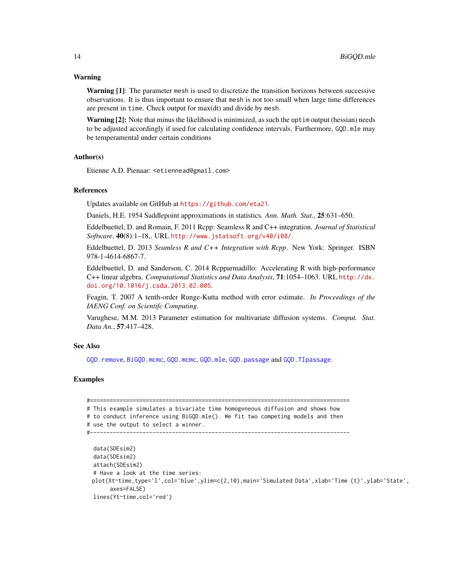# <span id="page-13-0"></span>Warning

**Warning [1]:** The parameter mesh is used to discretize the transition horizons between successive observations. It is thus important to ensure that mesh is not too small when large time differences are present in time. Check output for max(dt) and divide by mesh.

**Warning [2]:** Note that minus the likelihood is minimized, as such the optim output (hessian) needs to be adjusted accordingly if used for calculating confidence intervals. Furthermore, GQD.mle may be temperamental under certain conditions

#### Author(s)

Etienne A.D. Pienaar: <etiennead@gmail.com>

# References

Updates available on GitHub at <https://github.com/eta21>.

Daniels, H.E. 1954 Saddlepoint approximations in statistics. *Ann. Math. Stat.*, 25:631–650.

Eddelbuettel, D. and Romain, F. 2011 Rcpp: Seamless R and C++ integration. *Journal of Statistical Software*, 40(8):1–18,. URL <http://www.jstatsoft.org/v40/i08/>.

Eddelbuettel, D. 2013 *Seamless R and C++ Integration with Rcpp*. New York: Springer. ISBN 978-1-4614-6867-7.

Eddelbuettel, D. and Sanderson, C. 2014 Rcpparmadillo: Accelerating R with high-performance C++ linear algebra. *Computational Statistics and Data Analysis*, 71:1054–1063. URL [http://dx.](http://dx.doi.org/10.1016/j.csda.2013.02.005) [doi.org/10.1016/j.csda.2013.02.005](http://dx.doi.org/10.1016/j.csda.2013.02.005).

Feagin, T. 2007 A tenth-order Runge-Kutta method with error estimate. *In Proceedings of the IAENG Conf. on Scientifc Computing*.

Varughese, M.M. 2013 Parameter estimation for multivariate diffusion systems. *Comput. Stat. Data An.*, 57:417–428.

#### See Also

[GQD.remove](#page-36-1), [BiGQD.mcmc](#page-6-1), [GQD.mcmc](#page-25-1), [GQD.mle](#page-28-1), [GQD.passage](#page-32-1) and [GQD.TIpassage](#page-37-1).

```
#===============================================================================
# This example simulates a bivariate time homogeneous diffusion and shows how
# to conduct inference using BiGQD.mle(). We fit two competing models and then
# use the output to select a winner.
#-------------------------------------------------------------------------------
  data(SDEsim2)
  data(SDEsim2)
  attach(SDEsim2)
  # Have a look at the time series:
 plot(Xt~time,type='l',col='blue',ylim=c(2,10),main='Simulated Data',xlab='Time (t)',ylab='State',
       axes=FALSE)
  lines(Yt~time,col='red')
```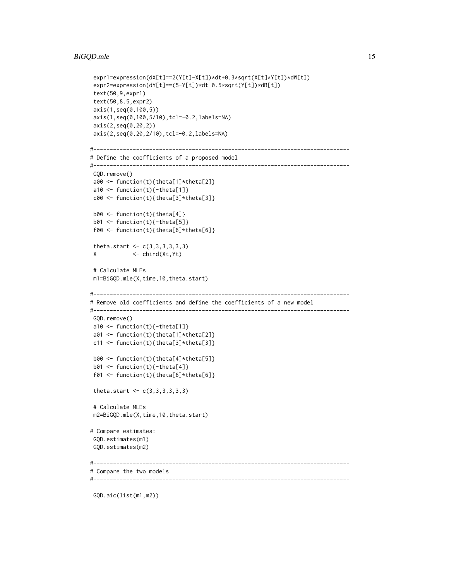# BiGQD.mle 15

```
expr1=expression(dX[t]==2(Y[t]-X[t])*dt+0.3*sqrt(X[t]*Y[t])*dW[t])
expr2=expression(dY[t]==(5-Y[t])*dt+0.5*sqrt(Y[t])*dB[t])
text(50,9,expr1)
text(50,8.5,expr2)
axis(1,seq(0,100,5))
axis(1,seq(0,100,5/10),tcl=-0.2,labels=NA)
axis(2,seq(0,20,2))
axis(2,seq(0,20,2/10),tcl=-0.2,labels=NA)
#------------------------------------------------------------------------------
# Define the coefficients of a proposed model
#------------------------------------------------------------------------------
GQD.remove()
a00 <- function(t){theta[1]*theta[2]}
a10 \leftarrow function(t){}-theta[1]}
c00 <- function(t){theta[3]*theta[3]}
b00 <- function(t){theta[4]}
b01 <- function(t){-theta[5]}
f00 <- function(t){theta[6]*theta[6]}
theta.start <-c(3,3,3,3,3,3)X <- cbind(Xt,Yt)
# Calculate MLEs
m1=BiGQD.mle(X,time,10,theta.start)
#------------------------------------------------------------------------------
# Remove old coefficients and define the coefficients of a new model
#------------------------------------------------------------------------------
GQD.remove()
a10 <- function(t){-theta[1]}
a01 <- function(t){theta[1]*theta[2]}
c11 <- function(t){theta[3]*theta[3]}
b00 <- function(t){theta[4]*theta[5]}
b01 <- function(t){-theta[4]}
f01 <- function(t){theta[6]*theta[6]}
theta.start <-c(3,3,3,3,3,3)# Calculate MLEs
m2=BiGQD.mle(X,time,10,theta.start)
# Compare estimates:
GQD.estimates(m1)
GQD.estimates(m2)
#------------------------------------------------------------------------------
# Compare the two models
#------------------------------------------------------------------------------
```
GQD.aic(list(m1,m2))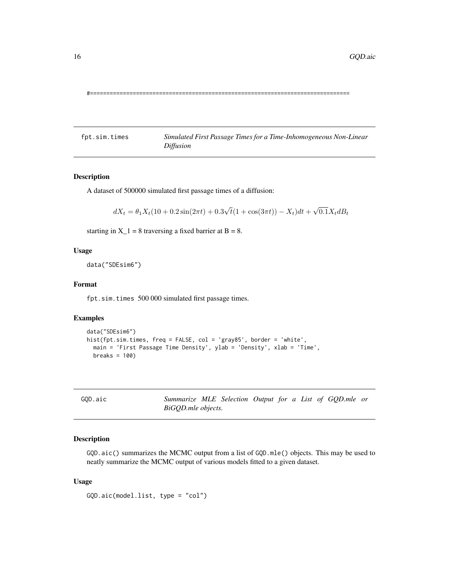<span id="page-15-0"></span>#===============================================================================

fpt.sim.times *Simulated First Passage Times for a Time-Inhomogeneous Non-Linear Diffusion*

# Description

A dataset of 500000 simulated first passage times of a diffusion:

$$
dX_t = \theta_1 X_t (10 + 0.2 \sin(2\pi t) + 0.3\sqrt{t}(1 + \cos(3\pi t)) - X_t)dt + \sqrt{0.1}X_t dB_t
$$

starting in  $X_1 = 8$  traversing a fixed barrier at  $B = 8$ .

# Usage

data("SDEsim6")

# Format

fpt.sim.times 500 000 simulated first passage times.

# Examples

```
data("SDEsim6")
hist(fpt.sim.times, freq = FALSE, col = 'gray85', border = 'white',
  main = 'First Passage Time Density', ylab = 'Density', xlab = 'Time',
  breaks = 100)
```

| GOD.aic |  |
|---------|--|
|---------|--|

Summarize MLE Selection Output for a List of GQD.mle or *BiGQD.mle objects.*

# Description

GQD.aic() summarizes the MCMC output from a list of GQD.mle() objects. This may be used to neatly summarize the MCMC output of various models fitted to a given dataset.

#### Usage

GQD.aic(model.list, type = "col")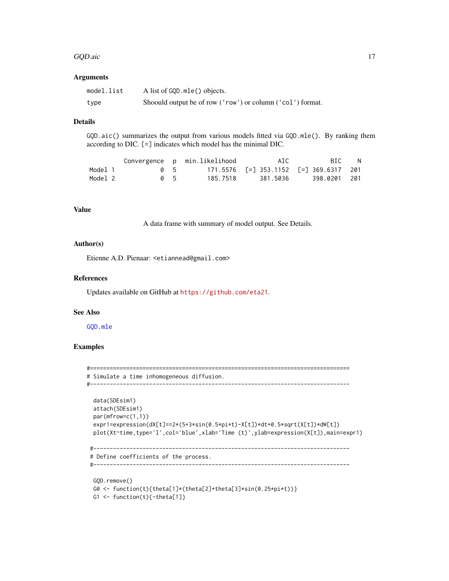#### <span id="page-16-0"></span> $GQD$ .aic  $17$

#### Arguments

| model.list | A list of GQD. mle() objects.                              |
|------------|------------------------------------------------------------|
| type       | Shoould output be of row ('row') or column ('col') format. |

# Details

GQD.aic() summarizes the output from various models fitted via GQD.mle(). By ranking them according to DIC. [=] indicates which model has the minimal DIC.

|         |  |     | Convergence p min.likelihood | AIC      | - BTC        | - N |
|---------|--|-----|------------------------------|----------|--------------|-----|
| Model 1 |  | 05  |                              |          |              |     |
| Model 2 |  | Q 5 | 185.7518                     | 381.5036 | 398.0201 201 |     |

# Value

A data frame with summary of model output. See Details.

#### Author(s)

Etienne A.D. Pienaar: <etiannead@gmail.com>

### References

Updates available on GitHub at <https://github.com/eta21>.

# See Also

[GQD.mle](#page-28-1)

```
#===============================================================================
# Simulate a time inhomogeneous diffusion.
#-------------------------------------------------------------------------------
 data(SDEsim1)
 attach(SDEsim1)
 par(mfrow=c(1,1))
 expr1=expression(dX[t]==2*(5+3*sin(0.5*pi*t)-X[t])*dt+0.5*sqrt(X[t])*dW[t])
 plot(Xt~time,type='l',col='blue',xlab='Time (t)',ylab=expression(X[t]),main=expr1)
 #------------------------------------------------------------------------------
 # Define coefficients of the process.
 #------------------------------------------------------------------------------
 GQD.remove()
 G0 \leftarrow function(t){theta[1]*(theta[2]+theta[3]*sin(0.25*pi*t))}
 G1 \leftarrow function(t){-theta[1]}
```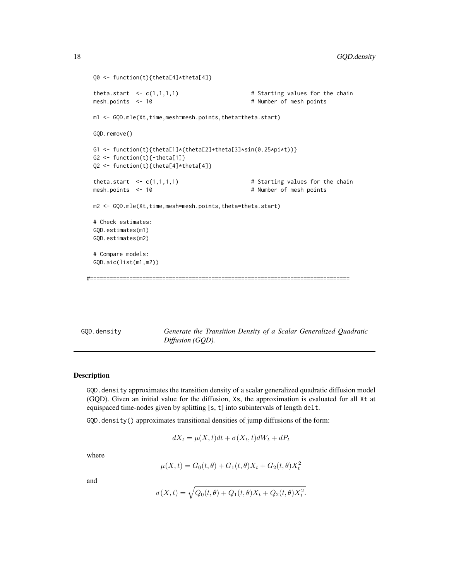```
Q0 <- function(t){theta[4]*theta[4]}
 theta.start \leq c(1,1,1,1) \qquad # Starting values for the chain
 mesh.points <- 10 \blacksquare # Number of mesh points
 m1 <- GQD.mle(Xt,time,mesh=mesh.points,theta=theta.start)
 GQD.remove()
 G1 <- function(t){theta[1]*(theta[2]+theta[3]*sin(0.25*pi*t))}
 G2 <- function(t){-theta[1]}
 Q2 <- function(t){theta[4]*theta[4]}
 theta.start \leq c(1,1,1,1) # Starting values for the chain
 mesh.points <- 10 \blacksquare # Number of mesh points
 m2 <- GQD.mle(Xt,time,mesh=mesh.points,theta=theta.start)
 # Check estimates:
 GQD.estimates(m1)
 GQD.estimates(m2)
 # Compare models:
 GQD.aic(list(m1,m2))
#===============================================================================
```
<span id="page-17-1"></span>GQD.density *Generate the Transition Density of a Scalar Generalized Quadratic Diffusion (GQD).*

# Description

GQD.density approximates the transition density of a scalar generalized quadratic diffusion model (GQD). Given an initial value for the diffusion, Xs, the approximation is evaluated for all Xt at equispaced time-nodes given by splitting [s, t] into subintervals of length delt.

GQD.density() approximates transitional densities of jump diffusions of the form:

$$
dX_t = \mu(X, t)dt + \sigma(X_t, t)dW_t + dP_t
$$

where

$$
\mu(X, t) = G_0(t, \theta) + G_1(t, \theta)X_t + G_2(t, \theta)X_t^2
$$

and

$$
\sigma(X,t) = \sqrt{Q_0(t,\theta) + Q_1(t,\theta)X_t + Q_2(t,\theta)X_t^2}.
$$

<span id="page-17-0"></span>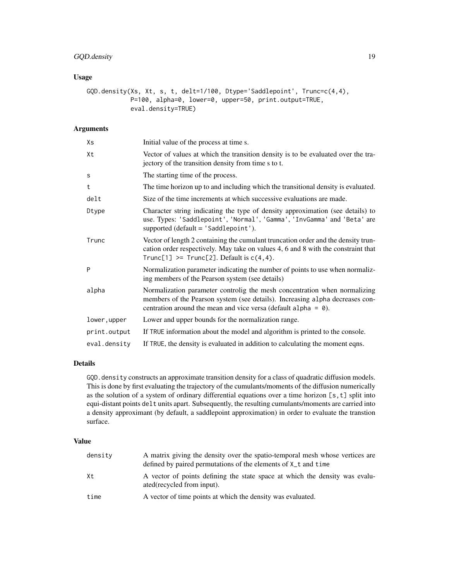# GQD.density 19

# Usage

```
GQD.density(Xs, Xt, s, t, delt=1/100, Dtype='Saddlepoint', Trunc=c(4,4),
            P=100, alpha=0, lower=0, upper=50, print.output=TRUE,
            eval.density=TRUE)
```
# Arguments

| Хs           | Initial value of the process at time s.                                                                                                                                                                                             |
|--------------|-------------------------------------------------------------------------------------------------------------------------------------------------------------------------------------------------------------------------------------|
| Xt           | Vector of values at which the transition density is to be evaluated over the tra-<br>jectory of the transition density from time s to t.                                                                                            |
| S            | The starting time of the process.                                                                                                                                                                                                   |
| t            | The time horizon up to and including which the transitional density is evaluated.                                                                                                                                                   |
| delt         | Size of the time increments at which successive evaluations are made.                                                                                                                                                               |
| Dtype        | Character string indicating the type of density approximation (see details) to<br>use. Types: 'Saddlepoint', 'Normal', 'Gamma', 'InvGamma' and 'Beta' are<br>supported (default = 'Saddlepoint').                                   |
| Trunc        | Vector of length 2 containing the cumulant truncation order and the density trun-<br>cation order respectively. May take on values 4, 6 and 8 with the constraint that<br>Trunc[1] >= $Trunc[2]$ . Default is $c(4, 4)$ .           |
| P            | Normalization parameter indicating the number of points to use when normaliz-<br>ing members of the Pearson system (see details)                                                                                                    |
| alpha        | Normalization parameter controlig the mesh concentration when normalizing<br>members of the Pearson system (see details). Increasing alpha decreases con-<br>centration around the mean and vice versa (default alpha = $\theta$ ). |
| lower,upper  | Lower and upper bounds for the normalization range.                                                                                                                                                                                 |
| print.output | If TRUE information about the model and algorithm is printed to the console.                                                                                                                                                        |
| eval.density | If TRUE, the density is evaluated in addition to calculating the moment eqns.                                                                                                                                                       |
|              |                                                                                                                                                                                                                                     |

# Details

GQD.density constructs an approximate transition density for a class of quadratic diffusion models. This is done by first evaluating the trajectory of the cumulants/moments of the diffusion numerically as the solution of a system of ordinary differential equations over a time horizon [s, t] split into equi-distant points delt units apart. Subsequently, the resulting cumulants/moments are carried into a density approximant (by default, a saddlepoint approximation) in order to evaluate the transtion surface.

# Value

| density | A matrix giving the density over the spatio-temporal mesh whose vertices are<br>defined by paired permutations of the elements of $X_t$ and time |
|---------|--------------------------------------------------------------------------------------------------------------------------------------------------|
| Xt      | A vector of points defining the state space at which the density was evalu-<br>ated(recycled from input).                                        |
| time    | A vector of time points at which the density was evaluated.                                                                                      |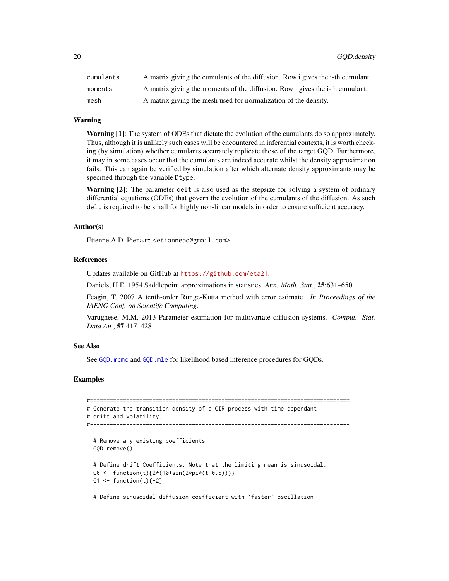<span id="page-19-0"></span>

| cumulants | A matrix giving the cumulants of the diffusion. Row i gives the i-th cumulant. |
|-----------|--------------------------------------------------------------------------------|
| moments   | A matrix giving the moments of the diffusion. Row i gives the i-th cumulant.   |
| mesh      | A matrix giving the mesh used for normalization of the density.                |

# Warning

**Warning [1]:** The system of ODEs that dictate the evolution of the cumulants do so approximately. Thus, although it is unlikely such cases will be encountered in inferential contexts, it is worth checking (by simulation) whether cumulants accurately replicate those of the target GQD. Furthermore, it may in some cases occur that the cumulants are indeed accurate whilst the density approximation fails. This can again be verified by simulation after which alternate density approximants may be specified through the variable Dtype.

Warning [2]: The parameter delt is also used as the stepsize for solving a system of ordinary differential equations (ODEs) that govern the evolution of the cumulants of the diffusion. As such delt is required to be small for highly non-linear models in order to ensure sufficient accuracy.

#### Author(s)

Etienne A.D. Pienaar: <etiannead@gmail.com>

### References

Updates available on GitHub at <https://github.com/eta21>.

Daniels, H.E. 1954 Saddlepoint approximations in statistics. *Ann. Math. Stat.*, 25:631–650.

Feagin, T. 2007 A tenth-order Runge-Kutta method with error estimate. *In Proceedings of the IAENG Conf. on Scientifc Computing*.

Varughese, M.M. 2013 Parameter estimation for multivariate diffusion systems. *Comput. Stat. Data An.*, 57:417–428.

#### See Also

See [GQD.mcmc](#page-25-1) and [GQD.mle](#page-28-1) for likelihood based inference procedures for GQDs.

# Examples

```
#===============================================================================
# Generate the transition density of a CIR process with time dependant
# drift and volatility.
#-------------------------------------------------------------------------------
  # Remove any existing coefficients
  GQD.remove()
  # Define drift Coefficients. Note that the limiting mean is sinusoidal.
  G0 <- function(t){2*(10+sin(2*pi*(t-0.5)))}
  G1 \leftarrow function(t){-2}
```
# Define sinusoidal diffusion coefficient with `faster' oscillation.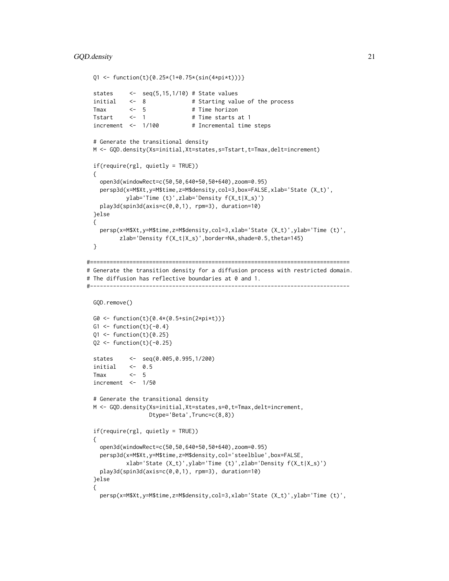#### GQD.density 21

```
Q1 <- function(t){0.25*(1+0.75*(sin(4*pi*t)))}
 states \leq seq(5,15,1/10) # State values
 initial <- 8 # Starting value of the process
 Tmax <-5 # Time horizon
 Tstart <- 1 # Time starts at 1
 increment <- 1/100 # Incremental time steps
 # Generate the transitional density
 M <- GQD.density(Xs=initial,Xt=states,s=Tstart,t=Tmax,delt=increment)
 if(require(rgl, quietly = TRUE))
 {
   open3d(windowRect=c(50,50,640+50,50+640),zoom=0.95)
   persp3d(x=M$Xt,y=M$time,z=M$density,col=3,box=FALSE,xlab='State (X_t)',
           ylab='Time (t)',zlab='Density f(X_t|X_s)')
   play3d(spin3d(axis=c(0,0,1), rpm=3), duration=10)
 }else
 {
   persp(x=M$Xt,y=M$time,z=M$density,col=3,xlab='State (X_t)',ylab='Time (t)',
         zlab='Density f(X_t|X_s)',border=NA,shade=0.5,theta=145)
 }
#===============================================================================
# Generate the transition density for a diffusion process with restricted domain.
# The diffusion has reflective boundaries at 0 and 1.
#-------------------------------------------------------------------------------
 GQD.remove()
 G0 <- function(t){0.4*(0.5+sin(2*pi*t))}
 G1 \leftarrow function(t){-0.4}
 Q1 <- function(t)\{0.25\}Q2 \leq function(t){-0.25}
 states <- seq(0.005,0.995,1/200)
 initial \leq -0.5Tmax <-5increment <- 1/50
 # Generate the transitional density
 M <- GQD.density(Xs=initial,Xt=states,s=0,t=Tmax,delt=increment,
                  Dtype='Beta',Trunc=c(8,8))
 if(require(rgl, quietly = TRUE))
 {
   open3d(windowRect=c(50,50,640+50,50+640),zoom=0.95)
   persp3d(x=M$Xt,y=M$time,z=M$density,col='steelblue',box=FALSE,
           xlab='State (X_t)',ylab='Time (t)',zlab='Density f(X_t|X_s)')
   play3d(spin3d(axis=c(0,0,1), rpm=3), duration=10)
 }else
 {
   persp(x=M$Xt,y=M$time,z=M$density,col=3,xlab='State (X_t)',ylab='Time (t)',
```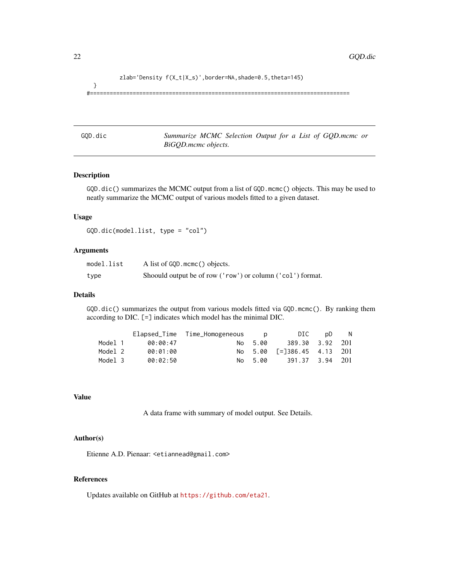```
zlab='Density f(X_t|X_s)',border=NA,shade=0.5,theta=145)
 }
#===============================================================================
```
<span id="page-21-1"></span>GQD.dic *Summarize MCMC Selection Output for a List of GQD.mcmc or BiGQD.mcmc objects.*

# Description

GQD.dic() summarizes the MCMC output from a list of GQD.mcmc() objects. This may be used to neatly summarize the MCMC output of various models fitted to a given dataset.

# Usage

GQD.dic(model.list, type = "col")

# Arguments

| model.list | A list of GQD mcmc() objects.                              |
|------------|------------------------------------------------------------|
| type       | Shoould output be of row ('row') or column ('col') format. |

#### Details

GQD.dic() summarizes the output from various models fitted via GQD.mcmc(). By ranking them according to DIC. [=] indicates which model has the minimal DIC.

|         |          | Elapsed_Time Time_Homogeneous | - p     | DIC                                       | pD | N N |
|---------|----------|-------------------------------|---------|-------------------------------------------|----|-----|
| Model 1 | 00:00:47 |                               | No 5.00 | 389.30 3.92 201                           |    |     |
| Model 2 | 00:01:00 |                               |         | No 5.00 $\lceil = 386.45 \rceil$ 4.13 201 |    |     |
| Model 3 | 00:02:50 |                               | No 5.00 | 391.37 3.94 201                           |    |     |

#### Value

A data frame with summary of model output. See Details.

# Author(s)

Etienne A.D. Pienaar: <etiannead@gmail.com>

# References

Updates available on GitHub at <https://github.com/eta21>.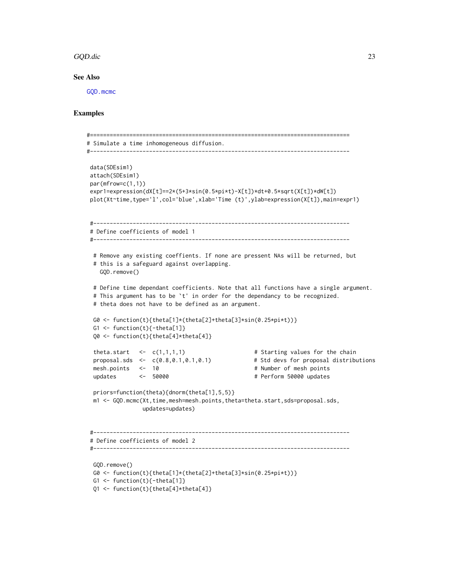#### <span id="page-22-0"></span>GQD.dic 23

#### See Also

[GQD.mcmc](#page-25-1)

```
#===============================================================================
# Simulate a time inhomogeneous diffusion.
#-------------------------------------------------------------------------------
data(SDEsim1)
attach(SDEsim1)
par(mfrow=c(1,1))expr1=expression(dX[t]=-2*(5+3*sin(0.5*pi*t)-X[t])*dt+0.5*sqrt(X[t])*dW[t])plot(Xt~time,type='l',col='blue',xlab='Time (t)',ylab=expression(X[t]),main=expr1)
#------------------------------------------------------------------------------
# Define coefficients of model 1
#------------------------------------------------------------------------------
 # Remove any existing coeffients. If none are pressent NAs will be returned, but
 # this is a safeguard against overlapping.
   GQD.remove()
 # Define time dependant coefficients. Note that all functions have a single argument.
 # This argument has to be `t' in order for the dependancy to be recognized.
 # theta does not have to be defined as an argument.
 G0 \le function(t){theta[1]*(theta[2]+theta[3]*sin(0.25*pi*t))}
 G1 \leftarrow function(t){-theta[1]}
 Q0 <- function(t){theta[4]*theta[4]}
 theta.start \leq c(1,1,1,1) \qquad # Starting values for the chain
 proposal.sds <- c(0.8,0.1,0.1,0.1) # Std devs for proposal distributions
 mesh.points <- 10 # Number of mesh points
 updates <- 50000 <- 50000 + Perform 50000 updates
 priors=function(theta){dnorm(theta[1],5,5)}
 m1 <- GQD.mcmc(Xt,time,mesh=mesh.points,theta=theta.start,sds=proposal.sds,
                updates=updates)
#------------------------------------------------------------------------------
# Define coefficients of model 2
#------------------------------------------------------------------------------
 GQD.remove()
 G0 \leftarrow function(t){theta[1]*(theta[2]+theta[3]*sin(0.25*pi*t))}
 G1 \leftarrow function(t){-theta[1]}
 Q1 <- function(t){theta[4]*theta[4]}
```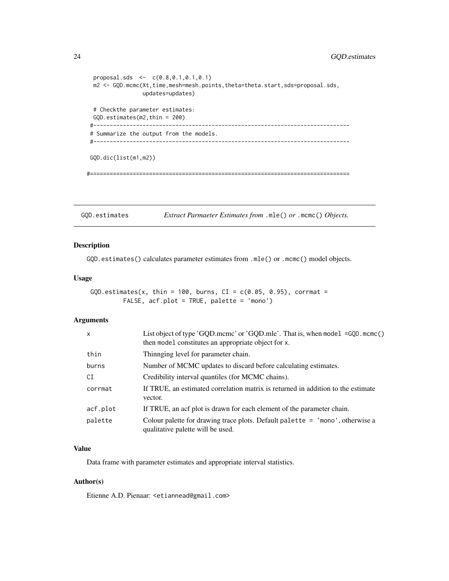# <span id="page-23-0"></span>24 GQD.estimates

```
proposal.sds <- c(0.8,0.1,0.1,0.1)
 m2 <- GQD.mcmc(Xt,time,mesh=mesh.points,theta=theta.start,sds=proposal.sds,
                updates=updates)
 # Checkthe parameter estimates:
 GQD.estimates(m2,thin = 200)
#------------------------------------------------------------------------------
# Summarize the output from the models.
#------------------------------------------------------------------------------
GQD.dic(list(m1,m2))
#===============================================================================
```
GQD.estimates *Extract Parmaeter Estimates from* .mle() *or* .mcmc() *Objects.*

#### Description

GQD.estimates() calculates parameter estimates from .mle() or .mcmc() model objects.

# Usage

GQD.estimates(x, thin = 100, burns,  $CI = c(0.05, 0.95)$ , corrmat = FALSE, acf.plot = TRUE, palette = 'mono')

# Arguments

| X        | List object of type 'GQD.mcmc' or 'GQD.mle'. That is, when model =GQD.mcmc()<br>then model constitutes an appropriate object for x. |
|----------|-------------------------------------------------------------------------------------------------------------------------------------|
| thin     | Thinnging level for parameter chain.                                                                                                |
| burns    | Number of MCMC updates to discard before calculating estimates.                                                                     |
| CI       | Credibility interval quantiles (for MCMC chains).                                                                                   |
| corrmat  | If TRUE, an estimated correlation matrix is returned in addition to the estimate<br>vector.                                         |
| acf.plot | If TRUE, an acf plot is drawn for each element of the parameter chain.                                                              |
| palette  | Colour palette for drawing trace plots. Default palette $=$ 'mono', otherwise a<br>qualitative palette will be used.                |

# Value

Data frame with parameter estimates and appropriate interval statistics.

#### Author(s)

Etienne A.D. Pienaar: <etiannead@gmail.com>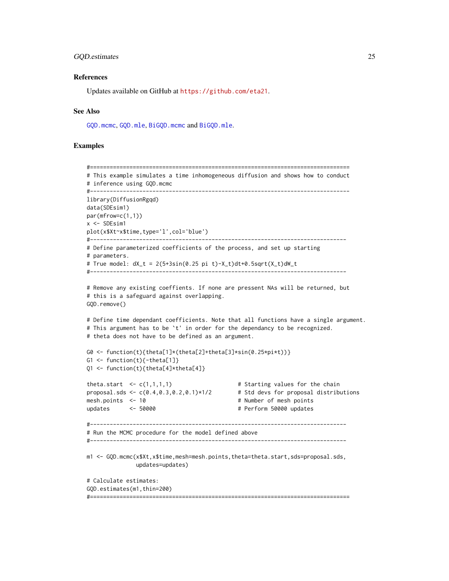# <span id="page-24-0"></span>GQD.estimates 25

#### References

Updates available on GitHub at <https://github.com/eta21>.

#### See Also

[GQD.mcmc](#page-25-1), [GQD.mle](#page-28-1), [BiGQD.mcmc](#page-6-1) and [BiGQD.mle](#page-11-1).

```
#===============================================================================
# This example simulates a time inhomogeneous diffusion and shows how to conduct
# inference using GQD.mcmc
#-------------------------------------------------------------------------------
library(DiffusionRgqd)
data(SDEsim1)
par(mfrow=c(1,1))
x <- SDEsim1
plot(x$Xt~x$time,type='l',col='blue')
#------------------------------------------------------------------------------
# Define parameterized coefficients of the process, and set up starting
# parameters.
# True model: dX_t = 2(5+3sin(0.25 pi t)-X_t)dt+0.5sqrt(X_t)dW_t
#------------------------------------------------------------------------------
# Remove any existing coeffients. If none are pressent NAs will be returned, but
# this is a safeguard against overlapping.
GQD.remove()
# Define time dependant coefficients. Note that all functions have a single argument.
# This argument has to be `t' in order for the dependancy to be recognized.
# theta does not have to be defined as an argument.
G0 <- function(t){theta[1]*(theta[2]+theta[3]*sin(0.25*pi*t))}
G1 \leftarrow function(t){-theta[1]}
Q1 <- function(t){theta[4]*theta[4]}
theta.start \leq c(1,1,1,1) # Starting values for the chain
proposal.sds \leq c(0.4, 0.3, 0.2, 0.1)*1/2 # Std devs for proposal distributions
mesh.points <- 10 # Number of mesh points
updates <- 50000 # Perform 50000 updates
#------------------------------------------------------------------------------
# Run the MCMC procedure for the model defined above
#------------------------------------------------------------------------------
m1 <- GQD.mcmc(x$Xt,x$time,mesh=mesh.points,theta=theta.start,sds=proposal.sds,
              updates=updates)
# Calculate estimates:
GQD.estimates(m1,thin=200)
#===============================================================================
```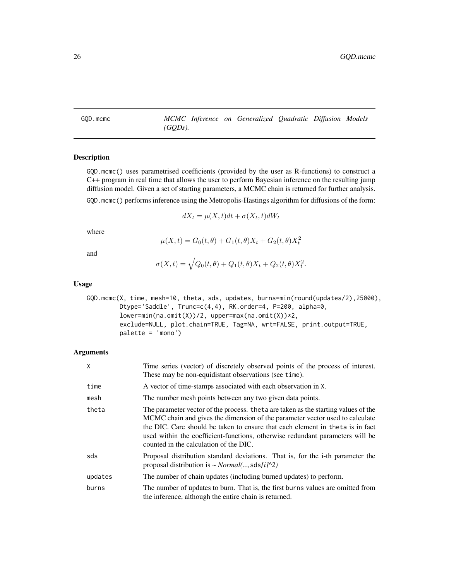<span id="page-25-1"></span><span id="page-25-0"></span>GQD.mcmc *MCMC Inference on Generalized Quadratic Diffusion Models (GQDs).*

# Description

GQD.mcmc() uses parametrised coefficients (provided by the user as R-functions) to construct a C++ program in real time that allows the user to perform Bayesian inference on the resulting jump diffusion model. Given a set of starting parameters, a MCMC chain is returned for further analysis. GQD.mcmc() performs inference using the Metropolis-Hastings algorithm for diffusions of the form:

$$
dX_t = \mu(X, t)dt + \sigma(X_t, t)dW_t
$$

where

$$
\mu(X, t) = G_0(t, \theta) + G_1(t, \theta)X_t + G_2(t, \theta)X_t^2
$$

and

$$
\sigma(X,t) = \sqrt{Q_0(t,\theta) + Q_1(t,\theta)X_t + Q_2(t,\theta)X_t^2}.
$$

#### Usage

GQD.mcmc(X, time, mesh=10, theta, sds, updates, burns=min(round(updates/2),25000), Dtype='Saddle', Trunc=c(4,4), RK.order=4, P=200, alpha=0,  $lower=min(na.omit(X))/2, upper=max(na.omit(X))*2,$ exclude=NULL, plot.chain=TRUE, Tag=NA, wrt=FALSE, print.output=TRUE, palette = 'mono')

#### Arguments

| X       | Time series (vector) of discretely observed points of the process of interest.<br>These may be non-equidistant observations (see time).                                                                                                                                                                                                                                             |
|---------|-------------------------------------------------------------------------------------------------------------------------------------------------------------------------------------------------------------------------------------------------------------------------------------------------------------------------------------------------------------------------------------|
| time    | A vector of time-stamps associated with each observation in X.                                                                                                                                                                                                                                                                                                                      |
| mesh    | The number mesh points between any two given data points.                                                                                                                                                                                                                                                                                                                           |
| theta   | The parameter vector of the process. the tasted are taken as the starting values of the<br>MCMC chain and gives the dimension of the parameter vector used to calculate<br>the DIC. Care should be taken to ensure that each element in theta is in fact<br>used within the coefficient-functions, otherwise redundant parameters will be<br>counted in the calculation of the DIC. |
| sds     | Proposal distribution standard deviations. That is, for the i-th parameter the<br>proposal distribution is $\sim Normal(,sds/i)^{2}$                                                                                                                                                                                                                                                |
| updates | The number of chain updates (including burned updates) to perform.                                                                                                                                                                                                                                                                                                                  |
| burns   | The number of updates to burn. That is, the first burns values are omitted from<br>the inference, although the entire chain is returned.                                                                                                                                                                                                                                            |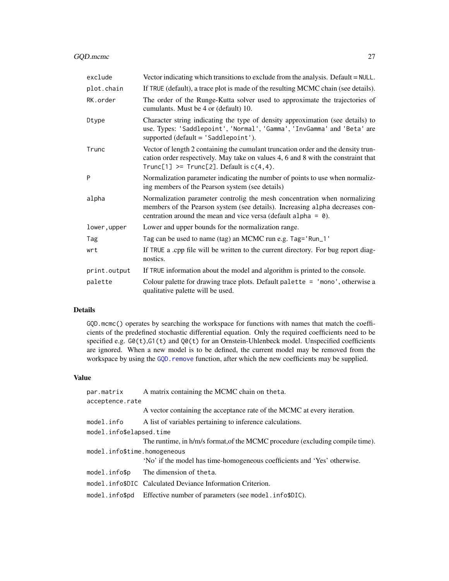# <span id="page-26-0"></span>GQD.mcmc 27

| exclude      | Vector indicating which transitions to exclude from the analysis. Default = NULL.                                                                                                                                                   |
|--------------|-------------------------------------------------------------------------------------------------------------------------------------------------------------------------------------------------------------------------------------|
| plot.chain   | If TRUE (default), a trace plot is made of the resulting MCMC chain (see details).                                                                                                                                                  |
| RK.order     | The order of the Runge-Kutta solver used to approximate the trajectories of<br>cumulants. Must be 4 or (default) 10.                                                                                                                |
| Dtype        | Character string indicating the type of density approximation (see details) to<br>use. Types: 'Saddlepoint', 'Normal', 'Gamma', 'InvGamma' and 'Beta' are<br>supported (default = 'Saddlepoint').                                   |
| Trunc        | Vector of length 2 containing the cumulant truncation order and the density trun-<br>cation order respectively. May take on values 4, 6 and 8 with the constraint that<br>Trunc[1] >= $Trunc[2]$ . Default is $c(4,4)$ .            |
| P            | Normalization parameter indicating the number of points to use when normaliz-<br>ing members of the Pearson system (see details)                                                                                                    |
| alpha        | Normalization parameter controlig the mesh concentration when normalizing<br>members of the Pearson system (see details). Increasing alpha decreases con-<br>centration around the mean and vice versa (default alpha = $\theta$ ). |
| lower,upper  | Lower and upper bounds for the normalization range.                                                                                                                                                                                 |
| Tag          | Tag can be used to name (tag) an MCMC run e.g. Tag='Run_1'                                                                                                                                                                          |
| wrt          | If TRUE a .cpp file will be written to the current directory. For bug report diag-<br>nostics.                                                                                                                                      |
| print.output | If TRUE information about the model and algorithm is printed to the console.                                                                                                                                                        |
| palette      | Colour palette for drawing trace plots. Default palette = $\lceil$ mono', otherwise a<br>qualitative palette will be used.                                                                                                          |

# Details

GQD.mcmc() operates by searching the workspace for functions with names that match the coefficients of the predefined stochastic differential equation. Only the required coefficients need to be specified e.g. G0(t),G1(t) and Q0(t) for an Ornstein-Uhlenbeck model. Unspecified coefficients are ignored. When a new model is to be defined, the current model may be removed from the workspace by using the GQD. remove function, after which the new coefficients may be supplied.

# Value

| par.matrix                   | A matrix containing the MCMC chain on theta.                                  |  |  |
|------------------------------|-------------------------------------------------------------------------------|--|--|
| acceptence.rate              |                                                                               |  |  |
|                              | A vector containing the acceptance rate of the MCMC at every iteration.       |  |  |
| model.info                   | A list of variables pertaining to inference calculations.                     |  |  |
|                              | model.info\$elapsed.time                                                      |  |  |
|                              | The runtime, in h/m/s format, of the MCMC procedure (excluding compile time). |  |  |
| model.info\$time.homogeneous |                                                                               |  |  |
|                              | 'No' if the model has time-homogeneous coefficients and 'Yes' otherwise.      |  |  |
| model.info\$p                | The dimension of theta.                                                       |  |  |
|                              | model.info\$DIC Calculated Deviance Information Criterion.                    |  |  |
| model.info\$pd               | Effective number of parameters (see model.info\$DIC).                         |  |  |
|                              |                                                                               |  |  |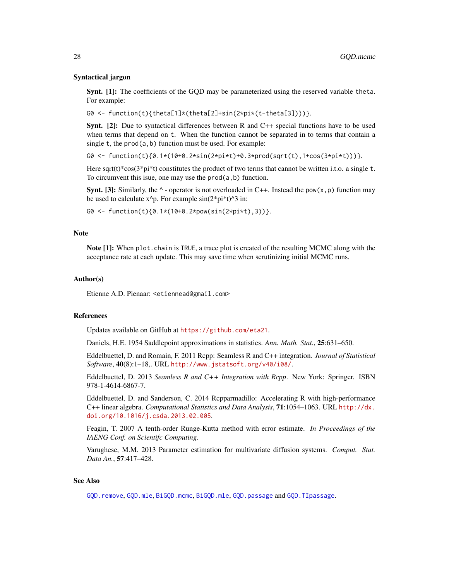#### Syntactical jargon

Synt. [1]: The coefficients of the GQD may be parameterized using the reserved variable theta. For example:

G0 <- function(t){theta[1]\*(theta[2]+sin(2\*pi\*(t-theta[3])))}.

Synt. [2]: Due to syntactical differences between R and C++ special functions have to be used when terms that depend on t. When the function cannot be separated in to terms that contain a single t, the  $\text{prod}(a, b)$  function must be used. For example:

G0 <- function(t){0.1\*(10+0.2\*sin(2\*pi\*t)+0.3\*prod(sqrt(t),1+cos(3\*pi\*t)))}.

Here sqrt(t)\*cos( $3$ \*pi\*t) constitutes the product of two terms that cannot be written i.t.o. a single t. To circumvent this isue, one may use the  $\text{prod}(a, b)$  function.

**Synt.** [3]: Similarly, the  $\land$  - operator is not overloaded in C++. Instead the pow(x, p) function may be used to calculate  $x^p$ . For example  $sin(2*pi*t)^3$  in:

G0 <- function(t){0.1\*(10+0.2\*pow(sin(2\*pi\*t),3))}.

#### Note

Note [1]: When plot.chain is TRUE, a trace plot is created of the resulting MCMC along with the acceptance rate at each update. This may save time when scrutinizing initial MCMC runs.

#### Author(s)

Etienne A.D. Pienaar: <etiennead@gmail.com>

#### References

Updates available on GitHub at <https://github.com/eta21>.

Daniels, H.E. 1954 Saddlepoint approximations in statistics. *Ann. Math. Stat.*, 25:631–650.

Eddelbuettel, D. and Romain, F. 2011 Rcpp: Seamless R and C++ integration. *Journal of Statistical Software*, 40(8):1–18,. URL <http://www.jstatsoft.org/v40/i08/>.

Eddelbuettel, D. 2013 *Seamless R and C++ Integration with Rcpp*. New York: Springer. ISBN 978-1-4614-6867-7.

Eddelbuettel, D. and Sanderson, C. 2014 Rcpparmadillo: Accelerating R with high-performance C++ linear algebra. *Computational Statistics and Data Analysis*, 71:1054–1063. URL [http://dx.](http://dx.doi.org/10.1016/j.csda.2013.02.005) [doi.org/10.1016/j.csda.2013.02.005](http://dx.doi.org/10.1016/j.csda.2013.02.005).

Feagin, T. 2007 A tenth-order Runge-Kutta method with error estimate. *In Proceedings of the IAENG Conf. on Scientifc Computing*.

Varughese, M.M. 2013 Parameter estimation for multivariate diffusion systems. *Comput. Stat. Data An.*, 57:417–428.

#### See Also

[GQD.remove](#page-36-1), [GQD.mle](#page-28-1), [BiGQD.mcmc](#page-6-1), [BiGQD.mle](#page-11-1), [GQD.passage](#page-32-1) and [GQD.TIpassage](#page-37-1).

<span id="page-27-0"></span>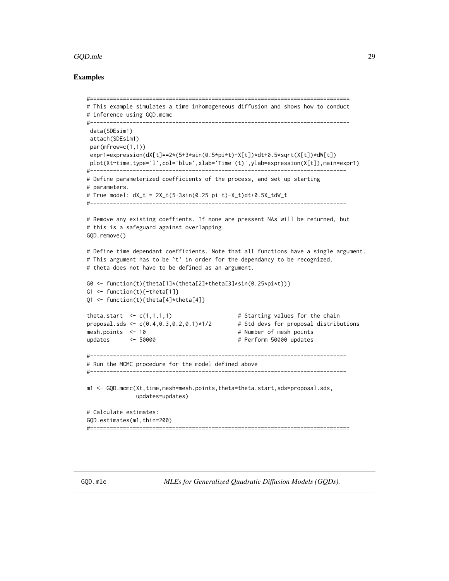#### <span id="page-28-0"></span>GQD.mle 29

# Examples

```
#===============================================================================
# This example simulates a time inhomogeneous diffusion and shows how to conduct
# inference using GQD.mcmc
#-------------------------------------------------------------------------------
data(SDEsim1)
attach(SDEsim1)
par(mfrow=c(1,1))
expr1=expression(dX[t]==2*(5+3*sin(0.5*pi*t)-X[t])*dt+0.5*sqrt(X[t])*dW[t])
plot(Xt~time,type='l',col='blue',xlab='Time (t)',ylab=expression(X[t]),main=expr1)
#------------------------------------------------------------------------------
# Define parameterized coefficients of the process, and set up starting
# parameters.
# True model: dX_t = 2X_t(5+3sin(0.25 pi t)-X_t)dt+0.5X_tdW_t
#------------------------------------------------------------------------------
# Remove any existing coeffients. If none are pressent NAs will be returned, but
# this is a safeguard against overlapping.
GQD.remove()
# Define time dependant coefficients. Note that all functions have a single argument.
# This argument has to be `t' in order for the dependancy to be recognized.
# theta does not have to be defined as an argument.
G0 <- function(t){theta[1]*(theta[2]+theta[3]*sin(0.25*pi*t))}
G1 \leftarrow function(t){-theta[1]}
Q1 <- function(t){theta[4]*theta[4]}
theta.start \leq c(1,1,1,1) # Starting values for the chain
proposal.sds \leq c(0.4, 0.3, 0.2, 0.1)*1/2 # Std devs for proposal distributions
mesh.points <- 10 # Number of mesh points
updates <- 50000 # Perform 50000 updates
#------------------------------------------------------------------------------
# Run the MCMC procedure for the model defined above
#------------------------------------------------------------------------------
m1 <- GQD.mcmc(Xt,time,mesh=mesh.points,theta=theta.start,sds=proposal.sds,
              updates=updates)
# Calculate estimates:
GQD.estimates(m1,thin=200)
#===============================================================================
```
<span id="page-28-1"></span>GQD.mle *MLEs for Generalized Quadratic Diffusion Models (GQDs).*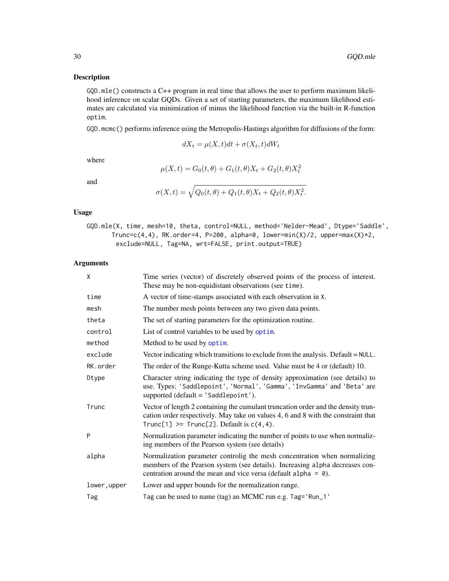# Description

GQD.mle() constructs a C++ program in real time that allows the user to perform maximum likelihood inference on scalar GQDs. Given a set of starting parameters, the maximum likelihood estimates are calculated via minimization of minus the likelihood function via the built-in R-function optim.

GQD.mcmc() performs inference using the Metropolis-Hastings algorithm for diffusions of the form:

$$
dX_t = \mu(X,t)dt + \sigma(X_t,t)dW_t
$$

where

$$
\mu(X, t) = G_0(t, \theta) + G_1(t, \theta)X_t + G_2(t, \theta)X_t^2
$$

and

$$
\sigma(X,t) = \sqrt{Q_0(t,\theta) + Q_1(t,\theta)X_t + Q_2(t,\theta)X_t^2}.
$$

# Usage

GQD.mle(X, time, mesh=10, theta, control=NULL, method='Nelder-Mead', Dtype='Saddle', Trunc=c(4,4), RK.order=4, P=200, alpha=0, lower=min(X)/2, upper=max(X)\*2, exclude=NULL, Tag=NA, wrt=FALSE, print.output=TRUE)

#### Arguments

| X           | Time series (vector) of discretely observed points of the process of interest.<br>These may be non-equidistant observations (see time).                                                                                             |
|-------------|-------------------------------------------------------------------------------------------------------------------------------------------------------------------------------------------------------------------------------------|
| time        | A vector of time-stamps associated with each observation in X.                                                                                                                                                                      |
| mesh        | The number mesh points between any two given data points.                                                                                                                                                                           |
| theta       | The set of starting parameters for the optimization routine.                                                                                                                                                                        |
| control     | List of control variables to be used by optim.                                                                                                                                                                                      |
| method      | Method to be used by optim.                                                                                                                                                                                                         |
| exclude     | Vector indicating which transitions to exclude from the analysis. Default = NULL.                                                                                                                                                   |
| RK.order    | The order of the Runge-Kutta scheme used. Value must be 4 or (default) 10.                                                                                                                                                          |
| Dtype       | Character string indicating the type of density approximation (see details) to<br>use. Types: 'Saddlepoint', 'Normal', 'Gamma', 'InvGamma' and 'Beta' are<br>supported (default = 'Saddlepoint').                                   |
| Trunc       | Vector of length 2 containing the cumulant truncation order and the density trun-<br>cation order respectively. May take on values 4, 6 and 8 with the constraint that<br>Trunc[1] >= $Trunc[2]$ . Default is $c(4,4)$ .            |
| P           | Normalization parameter indicating the number of points to use when normaliz-<br>ing members of the Pearson system (see details)                                                                                                    |
| alpha       | Normalization parameter controlig the mesh concentration when normalizing<br>members of the Pearson system (see details). Increasing alpha decreases con-<br>centration around the mean and vice versa (default alpha = $\theta$ ). |
| lower,upper | Lower and upper bounds for the normalization range.                                                                                                                                                                                 |
| Tag         | Tag can be used to name (tag) an MCMC run e.g. Tag='Run_1'                                                                                                                                                                          |

<span id="page-29-0"></span>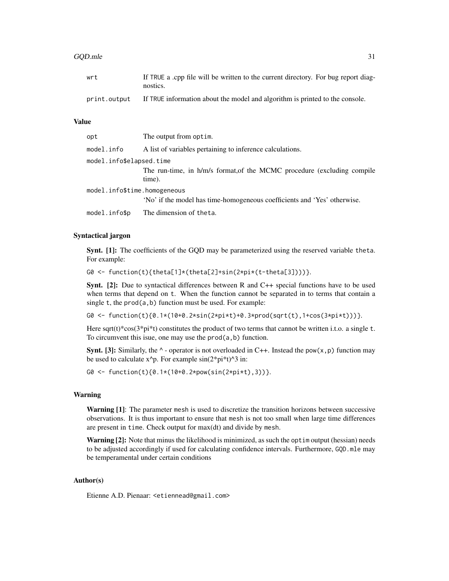#### $GQD.$ mle  $31$

#### Value

| opt                          | The output from optim.                                                   |
|------------------------------|--------------------------------------------------------------------------|
| model.info                   | A list of variables pertaining to inference calculations.                |
| model.info\$elapsed.time     |                                                                          |
|                              | The run-time, in h/m/s format, of the MCMC procedure (excluding compile  |
|                              | time).                                                                   |
| model.info\$time.homogeneous |                                                                          |
|                              | 'No' if the model has time-homogeneous coefficients and 'Yes' otherwise. |
| model.info\$p                | The dimension of theta.                                                  |
|                              |                                                                          |

#### Syntactical jargon

Synt. [1]: The coefficients of the GQD may be parameterized using the reserved variable theta. For example:

G0 <- function(t){theta[1]\*(theta[2]+sin(2\*pi\*(t-theta[3])))}.

Synt. [2]: Due to syntactical differences between R and C++ special functions have to be used when terms that depend on t. When the function cannot be separated in to terms that contain a single t, the prod(a,b) function must be used. For example:

G0 <- function(t){0.1\*(10+0.2\*sin(2\*pi\*t)+0.3\*prod(sqrt(t),1+cos(3\*pi\*t)))}.

Here sqrt(t)\*cos( $3$ \*pi\*t) constitutes the product of two terms that cannot be written i.t.o. a single t. To circumvent this isue, one may use the prod(a,b) function.

**Synt.** [3]: Similarly, the  $\land$ - operator is not overloaded in C++. Instead the pow( $x, p$ ) function may be used to calculate  $x^p$ . For example  $sin(2*pi*t)^3$  in:

G0 <- function(t){0.1\*(10+0.2\*pow(sin(2\*pi\*t),3))}.

#### Warning

Warning [1]: The parameter mesh is used to discretize the transition horizons between successive observations. It is thus important to ensure that mesh is not too small when large time differences are present in time. Check output for max(dt) and divide by mesh.

Warning [2]: Note that minus the likelihood is minimized, as such the optim output (hessian) needs to be adjusted accordingly if used for calculating confidence intervals. Furthermore, GQD.mle may be temperamental under certain conditions

# Author(s)

Etienne A.D. Pienaar: <etiennead@gmail.com>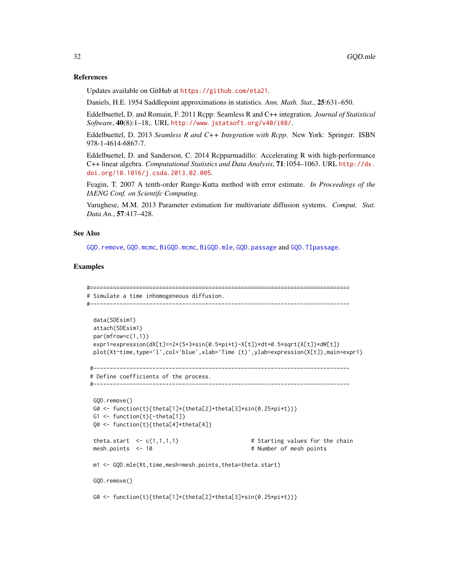#### <span id="page-31-0"></span>References

Updates available on GitHub at <https://github.com/eta21>.

Daniels, H.E. 1954 Saddlepoint approximations in statistics. *Ann. Math. Stat.*, 25:631–650.

Eddelbuettel, D. and Romain, F. 2011 Rcpp: Seamless R and C++ integration. *Journal of Statistical Software*, 40(8):1–18,. URL <http://www.jstatsoft.org/v40/i08/>.

Eddelbuettel, D. 2013 *Seamless R and C++ Integration with Rcpp*. New York: Springer. ISBN 978-1-4614-6867-7.

Eddelbuettel, D. and Sanderson, C. 2014 Rcpparmadillo: Accelerating R with high-performance C++ linear algebra. *Computational Statistics and Data Analysis*, 71:1054–1063. URL [http://dx.](http://dx.doi.org/10.1016/j.csda.2013.02.005) [doi.org/10.1016/j.csda.2013.02.005](http://dx.doi.org/10.1016/j.csda.2013.02.005).

Feagin, T. 2007 A tenth-order Runge-Kutta method with error estimate. *In Proceedings of the IAENG Conf. on Scientifc Computing*.

Varughese, M.M. 2013 Parameter estimation for multivariate diffusion systems. *Comput. Stat. Data An.*, 57:417–428.

### See Also

[GQD.remove](#page-36-1), [GQD.mcmc](#page-25-1), [BiGQD.mcmc](#page-6-1), [BiGQD.mle](#page-11-1), [GQD.passage](#page-32-1) and [GQD.TIpassage](#page-37-1).

```
#===============================================================================
# Simulate a time inhomogeneous diffusion.
#-------------------------------------------------------------------------------
 data(SDEsim1)
 attach(SDEsim1)
 par(mfrow=c(1,1))expr1=expression(dX[t]==2*(5+3*sin(0.5*pi*t)-X[t])*dt+0.5*sqrt(X[t])*dW[t])
 plot(Xt~time,type='l',col='blue',xlab='Time (t)',ylab=expression(X[t]),main=expr1)
#------------------------------------------------------------------------------
# Define coefficients of the process.
#------------------------------------------------------------------------------
 GQD.remove()
 G0 <- function(t){theta[1]*(theta[2]+theta[3]*sin(0.25*pi*t))}
 G1 \leftarrow function(t){-theta[1]}
 Q0 <- function(t){theta[4]*theta[4]}
 theta.start \leq c(1,1,1,1) # Starting values for the chain
 mesh.points <- 10 # Number of mesh points
 m1 <- GQD.mle(Xt,time,mesh=mesh.points,theta=theta.start)
 GQD.remove()
 G0 <- function(t){theta[1]*(theta[2]+theta[3]*sin(0.25*pi*t))}
```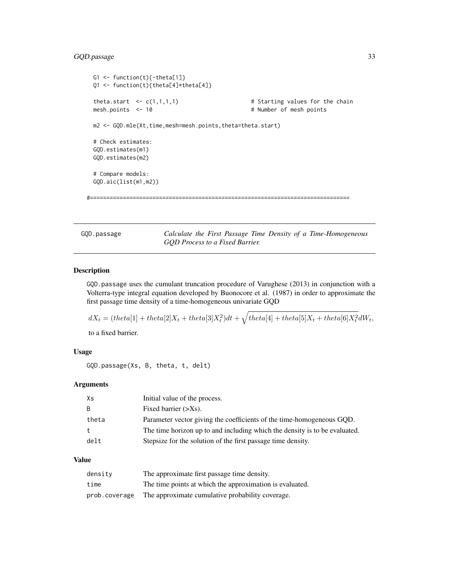# <span id="page-32-0"></span>GQD.passage 33

```
G1 \leftarrow function(t){-theta[1]}
 Q1 <- function(t){theta[4]*theta[4]}
 theta.start \leq c(1,1,1,1) # Starting values for the chain
 mesh.points <- 10 # Number of mesh points
 m2 <- GQD.mle(Xt,time,mesh=mesh.points,theta=theta.start)
 # Check estimates:
 GQD.estimates(m1)
 GQD.estimates(m2)
 # Compare models:
 GQD.aic(list(m1,m2))
#===============================================================================
```
<span id="page-32-1"></span>GQD.passage *Calculate the First Passage Time Density of a Time-Homogeneous GQD Process to a Fixed Barrier.*

# Description

GQD.passage uses the cumulant truncation procedure of Varughese (2013) in conjunction with a Volterra-type integral equation developed by Buonocore et al. (1987) in order to approximate the first passage time density of a time-homogeneous univariate GQD

 $dX_t = (theta[1] + theta[2]X_t + theta[3]X_t^2)dt + \sqrt{theta[4] + theta[5]X_t + theta[6]X_t^2}dW_t,$ 

to a fixed barrier.

# Usage

GQD.passage(Xs, B, theta, t, delt)

#### Arguments

| Χs    | Initial value of the process.                                              |
|-------|----------------------------------------------------------------------------|
| B     | Fixed barrier $(\geq Xs)$ .                                                |
| theta | Parameter vector giving the coefficients of the time-homogeneous GQD.      |
| t     | The time horizon up to and including which the density is to be evaluated. |
| delt  | Stepsize for the solution of the first passage time density.               |

# Value

| density       | The approximate first passage time density.              |
|---------------|----------------------------------------------------------|
| time          | The time points at which the approximation is evaluated. |
| prob.coverage | The approximate cumulative probability coverage.         |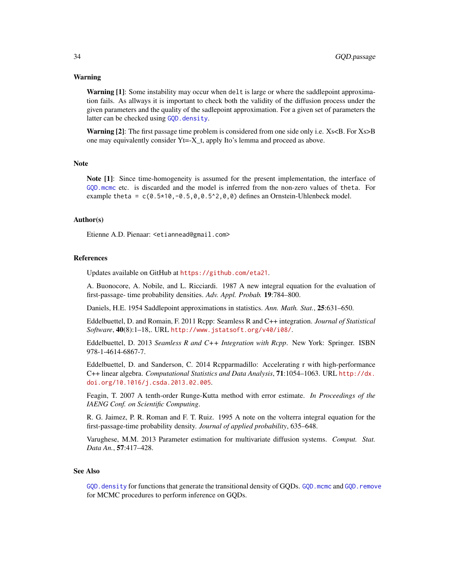# <span id="page-33-0"></span>Warning

Warning [1]: Some instability may occur when delt is large or where the saddlepoint approximation fails. As allways it is important to check both the validity of the diffusion process under the given parameters and the quality of the sadlepoint approximation. For a given set of parameters the latter can be checked using [GQD.density](#page-17-1).

**Warning [2]:** The first passage time problem is considered from one side only i.e.  $Xs < B$ . For  $Xs > B$ one may equivalently consider Yt=-X\_t, apply Ito's lemma and proceed as above.

#### Note

Note [1]: Since time-homogeneity is assumed for the present implementation, the interface of [GQD.mcmc](#page-25-1) etc. is discarded and the model is inferred from the non-zero values of theta. For example theta =  $c(0.5*10,-0.5,0,0.5^2,0,0)$  defines an Ornstein-Uhlenbeck model.

#### Author(s)

Etienne A.D. Pienaar: <etiannead@gmail.com>

# References

Updates available on GitHub at <https://github.com/eta21>.

A. Buonocore, A. Nobile, and L. Ricciardi. 1987 A new integral equation for the evaluation of first-passage- time probability densities. *Adv. Appl. Probab.* 19:784–800.

Daniels, H.E. 1954 Saddlepoint approximations in statistics. *Ann. Math. Stat.*, 25:631–650.

Eddelbuettel, D. and Romain, F. 2011 Rcpp: Seamless R and C++ integration. *Journal of Statistical Software*, 40(8):1–18,. URL <http://www.jstatsoft.org/v40/i08/>.

Eddelbuettel, D. 2013 *Seamless R and C++ Integration with Rcpp*. New York: Springer. ISBN 978-1-4614-6867-7.

Eddelbuettel, D. and Sanderson, C. 2014 Rcpparmadillo: Accelerating r with high-performance C++ linear algebra. *Computational Statistics and Data Analysis*, 71:1054–1063. URL [http://dx.](http://dx.doi.org/10.1016/j.csda.2013.02.005) [doi.org/10.1016/j.csda.2013.02.005](http://dx.doi.org/10.1016/j.csda.2013.02.005).

Feagin, T. 2007 A tenth-order Runge-Kutta method with error estimate. *In Proceedings of the IAENG Conf. on Scientific Computing*.

R. G. Jaimez, P. R. Roman and F. T. Ruiz. 1995 A note on the volterra integral equation for the first-passage-time probability density. *Journal of applied probability*, 635–648.

Varughese, M.M. 2013 Parameter estimation for multivariate diffusion systems. *Comput. Stat. Data An.*, 57:417–428.

# See Also

 $GOD$ . density for functions that generate the transitional density of  $GODs$ .  $GOD$ . mcmc and  $GOD$ . remove for MCMC procedures to perform inference on GQDs.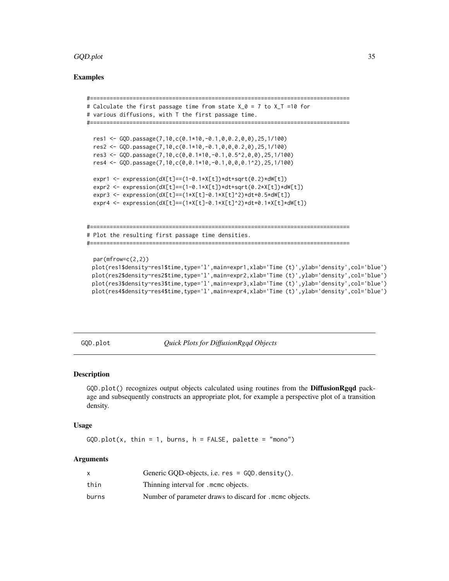#### <span id="page-34-0"></span>GQD.plot 35

# Examples

```
#===============================================================================
# Calculate the first passage time from state X_0 = 7 to X_T =10 for
# various diffusions, with T the first passage time.
#===============================================================================
 res1 <- GQD.passage(7,10,c(0.1*10,-0.1,0,0.2,0,0),25,1/100)
 res2 <- GQD.passage(7,10,c(0.1*10,-0.1,0,0,0.2,0),25,1/100)
 res3 <- GQD.passage(7,10,c(0,0.1*10,-0.1,0.5^2,0,0),25,1/100)
 res4 <- GQD.passage(7,10,c(0,0.1*10,-0.1,0,0,0.1^2),25,1/100)
 expr1 <- expression(dX[t]==(1-0.1*X[t])*dt+sqrt(0.2)*dW[t])
 expr2 <- expression(dX[t]==(1-0.1*X[t])*dt+sqrt(0.2*X[t])*dW[t])
 expr3 <- expression(dX[t]==(1*X[t]-0.1*X[t]^2)*dt+0.5*dW[t])
 expr4 <- expression(dX[t]==(1*X[t]-0.1*X[t]^2)*dt+0.1*X[t]*dW[t])
#===============================================================================
# Plot the resulting first passage time densities.
#===============================================================================
 par(mfrow=c(2,2))
```

```
plot(res1$density~res1$time,type='l',main=expr1,xlab='Time (t)',ylab='density',col='blue')
plot(res2$density~res2$time,type='l',main=expr2,xlab='Time (t)',ylab='density',col='blue')
plot(res3$density~res3$time,type='l',main=expr3,xlab='Time (t)',ylab='density',col='blue')
plot(res4$density~res4$time,type='l',main=expr4,xlab='Time (t)',ylab='density',col='blue')
```
GQD.plot *Quick Plots for DiffusionRgqd Objects*

# **Description**

GQD.plot() recognizes output objects calculated using routines from the DiffusionRgqd package and subsequently constructs an appropriate plot, for example a perspective plot of a transition density.

#### Usage

 $GQD.plot(x, thin = 1, burns, h = FALSE, palette = "mono")$ 

#### Arguments

|       | Generic GQD-objects, i.e. $res = GQD$ . density().       |
|-------|----------------------------------------------------------|
| thin  | Thinning interval for . mome objects.                    |
| burns | Number of parameter draws to discard for , mome objects. |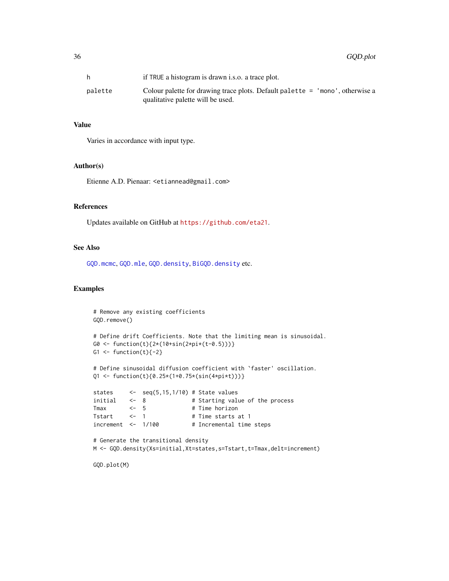<span id="page-35-0"></span>

| h       | if TRUE a histogram is drawn i.s.o. a trace plot.                                                                    |
|---------|----------------------------------------------------------------------------------------------------------------------|
| palette | Colour palette for drawing trace plots. Default palette $=$ 'mono', otherwise a<br>qualitative palette will be used. |

# Value

Varies in accordance with input type.

#### Author(s)

Etienne A.D. Pienaar: <etiannead@gmail.com>

# References

Updates available on GitHub at <https://github.com/eta21>.

#### See Also

[GQD.mcmc](#page-25-1), [GQD.mle](#page-28-1), [GQD.density](#page-17-1), [BiGQD.density](#page-2-1) etc.

```
# Remove any existing coefficients
GQD.remove()
# Define drift Coefficients. Note that the limiting mean is sinusoidal.
G0 <- function(t){2*(10+sin(2*pi*(t-0.5)))}
G1 \leftarrow function(t){-2}
# Define sinusoidal diffusion coefficient with `faster' oscillation.
Q1 <- function(t){0.25*(1+0.75*(sin(4*pi*t)))}
states \leftarrow seq(5,15,1/10) # State values
initial <- 8 # Starting value of the process
Tmax \leftarrow 5 # Time horizon
Tstart <- 1 # Time starts at 1
increment <- 1/100 # Incremental time steps
# Generate the transitional density
M <- GQD.density(Xs=initial,Xt=states,s=Tstart,t=Tmax,delt=increment)
GQD.plot(M)
```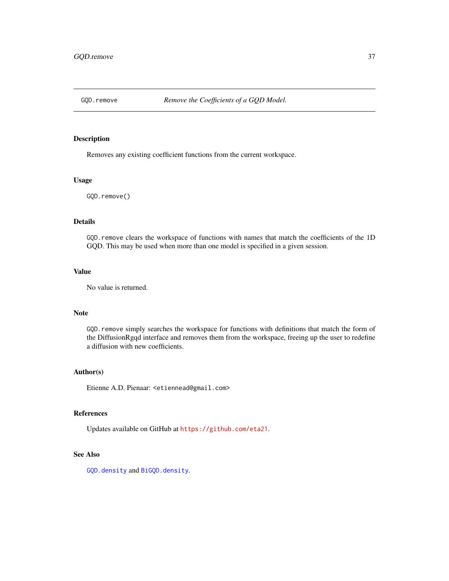<span id="page-36-1"></span><span id="page-36-0"></span>

#### Description

Removes any existing coefficient functions from the current workspace.

#### Usage

GQD.remove()

# Details

GQD.remove clears the workspace of functions with names that match the coefficients of the 1D GQD. This may be used when more than one model is specified in a given session.

# Value

No value is returned.

# Note

GQD.remove simply searches the workspace for functions with definitions that match the form of the DiffusionRgqd interface and removes them from the workspace, freeing up the user to redefine a diffusion with new coefficients.

# Author(s)

Etienne A.D. Pienaar: <etiennead@gmail.com>

# References

Updates available on GitHub at <https://github.com/eta21>.

# See Also

[GQD.density](#page-17-1) and [BiGQD.density](#page-2-1).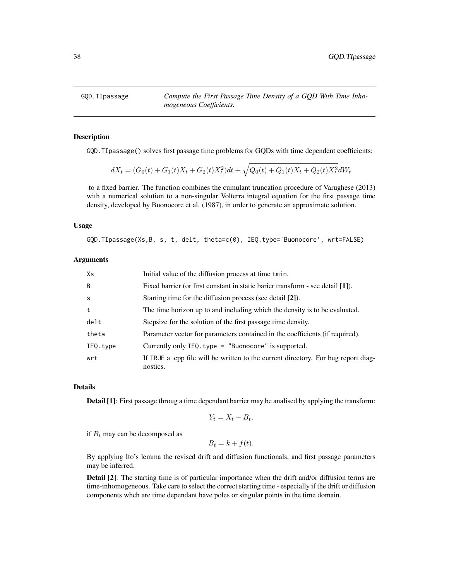<span id="page-37-1"></span><span id="page-37-0"></span>GQD.TIpassage *Compute the First Passage Time Density of a GQD With Time Inhomogeneous Coefficients.*

# Description

GQD.TIpassage() solves first passage time problems for GQDs with time dependent coefficients:

$$
dX_t = (G_0(t) + G_1(t)X_t + G_2(t)X_t^2)dt + \sqrt{Q_0(t) + Q_1(t)X_t + Q_2(t)X_t^2}dW_t
$$

to a fixed barrier. The function combines the cumulant truncation procedure of Varughese (2013) with a numerical solution to a non-singular Volterra integral equation for the first passage time density, developed by Buonocore et al. (1987), in order to generate an approximate solution.

# Usage

GQD.TIpassage(Xs,B, s, t, delt, theta=c(0), IEQ.type='Buonocore', wrt=FALSE)

#### Arguments

| Xs           | Initial value of the diffusion process at time tmin.                                          |
|--------------|-----------------------------------------------------------------------------------------------|
| B            | Fixed barrier (or first constant in static barier transform - see detail [1]).                |
| <sub>S</sub> | Starting time for the diffusion process (see detail [2]).                                     |
| t            | The time horizon up to and including which the density is to be evaluated.                    |
| delt         | Stepsize for the solution of the first passage time density.                                  |
| theta        | Parameter vector for parameters contained in the coefficients (if required).                  |
| IEQ.type     | Currently only $IEQ. type = "Buonocore"$ is supported.                                        |
| wrt          | If TRUE a cpp file will be written to the current directory. For bug report diag-<br>nostics. |

#### Details

Detail [1]: First passage throug a time dependant barrier may be analised by applying the transform:

$$
Y_t = X_t - B_t,
$$

if  $B_t$  may can be decomposed as

$$
B_t = k + f(t).
$$

By applying Ito's lemma the revised drift and diffusion functionals, and first passage parameters may be inferred.

Detail [2]: The starting time is of particular importance when the drift and/or diffusion terms are time-inhomogeneous. Take care to select the correct starting time - especially if the drift or diffusion components whch are time dependant have poles or singular points in the time domain.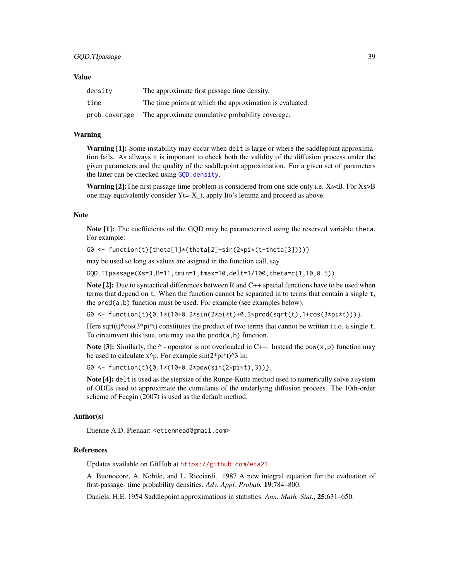#### <span id="page-38-0"></span>Value

| density       | The approximate first passage time density.              |
|---------------|----------------------------------------------------------|
| time          | The time points at which the approximation is evaluated. |
| prob.coverage | The approximate cumulative probability coverage.         |

# Warning

Warning [1]: Some instability may occur when delt is large or where the saddlepoint approximation fails. As allways it is important to check both the validity of the diffusion process under the given parameters and the quality of the saddlepoint approximation. For a given set of parameters the latter can be checked using [GQD.density](#page-17-1).

**Warning [2]:** The first passage time problem is considered from one side only i.e.  $X_s < B$ . For  $X_s > B$ one may equivalently consider  $Yt = -X$ , t, apply Ito's lemma and proceed as above.

#### Note

Note [1]: The coefficients od the GOD may be parameterized using the reserved variable theta. For example:

G0 <- function(t){theta[1]\*(theta[2]+sin(2\*pi\*(t-theta[3])))}

may be used so long as values are asigned in the function call, say

GQD.TIpassage(Xs=3,B=11,tmin=1,tmax=10,delt=1/100,theta=c(1,10,0.5)).

Note [2]: Due to syntactical differences between R and C++ special functions have to be used when terms that depend on t. When the function cannot be separated in to terms that contain a single t, the prod(a,b) function must be used. For example (see examples below):

G0 <- function(t){0.1\*(10+0.2\*sin(2\*pi\*t)+0.3\*prod(sqrt(t),1+cos(3\*pi\*t)))}.

Here sqrt(t)\*cos( $3$ \*pi\*t) constitutes the product of two terms that cannot be written i.t.o. a single t. To circumvent this isue, one may use the prod(a,b) function.

Note [3]: Similarly, the  $\wedge$  - operator is not overloaded in C++. Instead the pow(x, p) function may be used to calculate  $x^p$ . For example  $sin(2*pi*t)^3$  in:

G0 <- function(t){0.1\*(10+0.2\*pow(sin(2\*pi\*t),3))}.

Note [4]: delt is used as the stepsize of the Runge-Kutta method used to numerically solve a system of ODEs used to approximate the cumulants of the underlying diffusion procees. The 10th-order scheme of Feagin (2007) is used as the default method.

#### Author(s)

Etienne A.D. Pienaar: <etiennead@gmail.com>

# References

Updates available on GitHub at <https://github.com/eta21>.

A. Buonocore, A. Nobile, and L. Ricciardi. 1987 A new integral equation for the evaluation of first-passage- time probability densities. *Adv. Appl. Probab.* 19:784–800.

Daniels, H.E. 1954 Saddlepoint approximations in statistics. *Ann. Math. Stat.*, 25:631–650.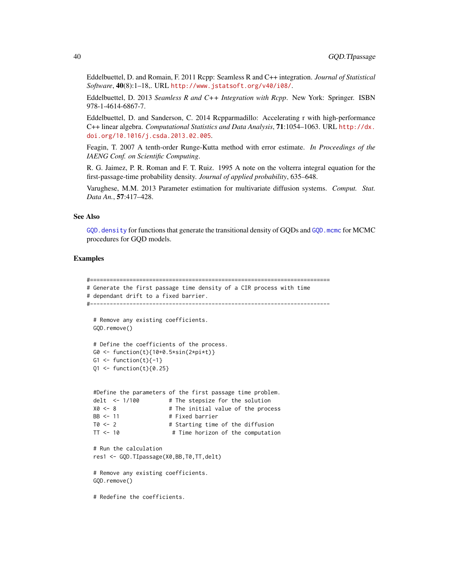Eddelbuettel, D. and Romain, F. 2011 Rcpp: Seamless R and C++ integration. *Journal of Statistical Software*, 40(8):1–18,. URL <http://www.jstatsoft.org/v40/i08/>.

Eddelbuettel, D. 2013 *Seamless R and C++ Integration with Rcpp*. New York: Springer. ISBN 978-1-4614-6867-7.

Eddelbuettel, D. and Sanderson, C. 2014 Rcpparmadillo: Accelerating r with high-performance C++ linear algebra. *Computational Statistics and Data Analysis*, 71:1054–1063. URL [http://dx.](http://dx.doi.org/10.1016/j.csda.2013.02.005) [doi.org/10.1016/j.csda.2013.02.005](http://dx.doi.org/10.1016/j.csda.2013.02.005).

Feagin, T. 2007 A tenth-order Runge-Kutta method with error estimate. *In Proceedings of the IAENG Conf. on Scientific Computing*.

R. G. Jaimez, P. R. Roman and F. T. Ruiz. 1995 A note on the volterra integral equation for the first-passage-time probability density. *Journal of applied probability*, 635–648.

Varughese, M.M. 2013 Parameter estimation for multivariate diffusion systems. *Comput. Stat. Data An.*, 57:417–428.

#### See Also

GQD. density for functions that generate the transitional density of GQDs and GQD. mcmc for MCMC procedures for GQD models.

```
#=========================================================================
# Generate the first passage time density of a CIR process with time
# dependant drift to a fixed barrier.
#-------------------------------------------------------------------------
 # Remove any existing coefficients.
 GQD.remove()
 # Define the coefficients of the process.
 G0 <- function(t){10+0.5*sin(2*pi*t)}
 G1 \leftarrow function(t){-1}
 01 <- function(t){0.25}
 #Define the parameters of the first passage time problem.
 delt <- 1/100 # The stepsize for the solution
 X0 <- 8 # The initial value of the process
 BB <- 11 # Fixed barrier
 T0 <- 2 # Starting time of the diffusion
 TT <- 10 # Time horizon of the computation
 # Run the calculation
 res1 <- GQD.TIpassage(X0,BB,T0,TT,delt)
 # Remove any existing coefficients.
 GQD.remove()
 # Redefine the coefficients.
```
<span id="page-39-0"></span>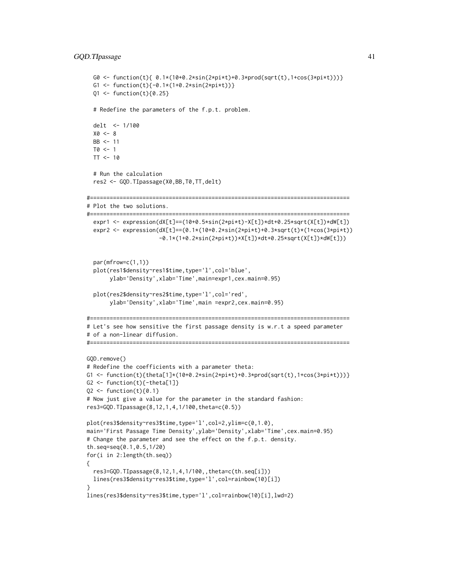```
G0 <- function(t){ 0.1*(10+0.2*sin(2*pi*t)+0.3*prod(sqrt(t),1+cos(3*pi*t)))}
  G1 <- function(t){-0.1*(1+0.2*sin(2*pi*t))}
  Q1 <- function(t)\{0.25\}# Redefine the parameters of the f.p.t. problem.
  delt <- 1/100
  X0 < - 8BB <- 11
  T0 < -1TT < -10# Run the calculation
  res2 <- GQD.TIpassage(X0,BB,T0,TT,delt)
#===============================================================================
# Plot the two solutions.
#===============================================================================
  expr1 <- expression(dX[t]==(10+0.5*sin(2*pi*t)-X[t])*dt+0.25*sqrt(X[t])*dW[t])
  expr2 <- expression(dX[t]==(0.1*(10+0.2*sin(2*pi*t)+0.3*sqrt(t)*(1+cos(3*pi*t))
                      -0.1*(1+0.2*sin(2*pi*t))*X[t])*dt+0.25*sqrt(X[t])*dW[t]))
  par(mfrow=c(1,1))
  plot(res1$density~res1$time,type='l',col='blue',
       ylab='Density',xlab='Time',main=expr1,cex.main=0.95)
  plot(res2$density~res2$time,type='l',col='red',
       ylab='Density',xlab='Time',main =expr2,cex.main=0.95)
#===============================================================================
# Let's see how sensitive the first passage density is w.r.t a speed parameter
# of a non-linear diffusion.
#===============================================================================
GQD.remove()
# Redefine the coefficients with a parameter theta:
G1 <- function(t){theta[1]*(10+0.2*sin(2*pi*t)+0.3*prod(sqrt(t),1+cos(3*pi*t)))}
G2 \leftarrow function(t){-theta[1]}
Q2 <- function(t){0.1}# Now just give a value for the parameter in the standard fashion:
res3=GQD.TIpassage(8,12,1,4,1/100,theta=c(0.5))
plot(res3$density~res3$time,type='l',col=2,ylim=c(0,1.0),
main='First Passage Time Density',ylab='Density',xlab='Time',cex.main=0.95)
# Change the parameter and see the effect on the f.p.t. density.
th.seq=seq(0.1,0.5,1/20)
for(i in 2:length(th.seq))
{
  res3=GQD.TIpassage(8,12,1,4,1/100,,theta=c(th.seq[i]))
  lines(res3$density~res3$time,type='l',col=rainbow(10)[i])
}
lines(res3$density~res3$time,type='l',col=rainbow(10)[i],lwd=2)
```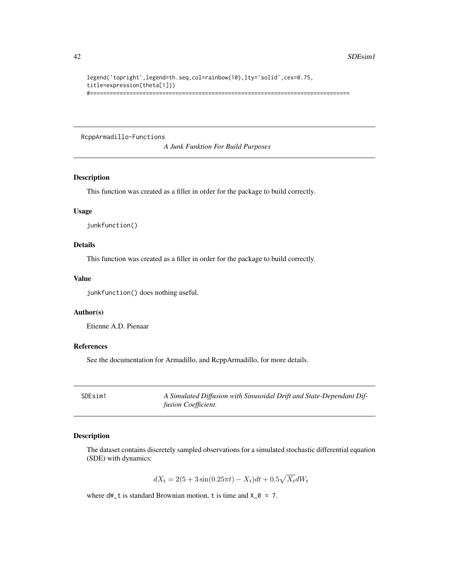#### <span id="page-41-0"></span>42 SDEsim1

```
legend('topright',legend=th.seq,col=rainbow(10),lty='solid',cex=0.75,
title=expression(theta[1]))
#===============================================================================
```
RcppArmadillo-Functions

*A Junk Funktion For Build Purposes*

# Description

This function was created as a filler in order for the package to build correctly.

#### Usage

junkfunction()

# Details

This function was created as a filler in order for the package to build correctly.

# Value

junkfunction() does nothing useful.

# Author(s)

Etienne A.D. Pienaar

# References

See the documentation for Armadillo, and RcppArmadillo, for more details.

SDEsim1 *A Simulated Diffusion with Sinusoidal Drift and State-Dependant Diffusion Coefficient.*

# Description

The dataset contains discretely sampled observations for a simulated stochastic differential equation (SDE) with dynamics:

$$
dX_t = 2(5 + 3\sin(0.25\pi t) - X_t)dt + 0.5\sqrt{X_t}dW_t
$$

where  $dW_t$  is standard Brownian motion, t is time and  $X_0 = 7$ .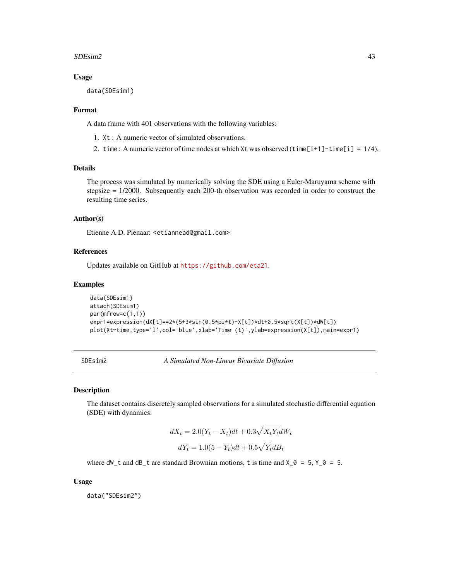#### <span id="page-42-0"></span> $SDEsim2$  43

#### Usage

data(SDEsim1)

#### Format

A data frame with 401 observations with the following variables:

- 1. Xt : A numeric vector of simulated observations.
- 2. time : A numeric vector of time nodes at which Xt was observed (time[i+1]-time[i] = 1/4).

#### Details

The process was simulated by numerically solving the SDE using a Euler-Maruyama scheme with stepsize = 1/2000. Subsequently each 200-th observation was recorded in order to construct the resulting time series.

#### Author(s)

Etienne A.D. Pienaar: <etiannead@gmail.com>

#### References

Updates available on GitHub at <https://github.com/eta21>.

#### Examples

```
data(SDEsim1)
attach(SDEsim1)
par(mfrow=c(1,1))
expr1=expression(dX[t]==2*(5+3*sin(0.5*pi*t)-X[t])*dt+0.5*sqrt(X[t])*dW[t])
plot(Xt~time,type='l',col='blue',xlab='Time (t)',ylab=expression(X[t]),main=expr1)
```
SDEsim2 *A Simulated Non-Linear Bivariate Diffusion*

#### Description

The dataset contains discretely sampled observations for a simulated stochastic differential equation (SDE) with dynamics:

$$
dX_t = 2.0(Y_t - X_t)dt + 0.3\sqrt{X_tY_t}dW_t
$$

$$
dY_t = 1.0(5 - Y_t)dt + 0.5\sqrt{Y_t}dB_t
$$

where  $dW_t$  and  $dB_t$  are standard Brownian motions, t is time and  $X_0 = 5$ ,  $Y_0 = 5$ .

#### Usage

data("SDEsim2")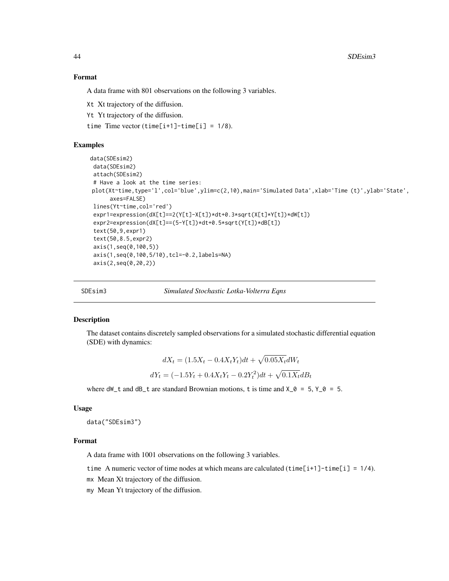# Format

A data frame with 801 observations on the following 3 variables.

Xt Xt trajectory of the diffusion.

Yt Yt trajectory of the diffusion.

time Time vector (time[i+1]-time[i] =  $1/8$ ).

# Examples

```
data(SDEsim2)
data(SDEsim2)
attach(SDEsim2)
# Have a look at the time series:
plot(Xt~time,type='l',col='blue',ylim=c(2,10),main='Simulated Data',xlab='Time (t)',ylab='State',
     axes=FALSE)
lines(Yt~time,col='red')
expr1=expression(dX[t]==2(Y[t]-X[t])*dt+0.3*sqrt(X[t]*Y[t])*dW[t])
expr2=expression(dX[t]==(5-Y[t])*dt+0.5*sqrt(Y[t])*dB[t])
text(50,9,expr1)
text(50,8.5,expr2)
axis(1,seq(0,100,5))
axis(1,seq(0,100,5/10),tcl=-0.2,labels=NA)
axis(2,seq(0,20,2))
```
SDEsim3 *Simulated Stochastic Lotka-Volterra Eqns*

#### Description

The dataset contains discretely sampled observations for a simulated stochastic differential equation (SDE) with dynamics:

$$
dX_t = (1.5X_t - 0.4X_tY_t)dt + \sqrt{0.05X_t}dW_t
$$
  

$$
dY_t = (-1.5Y_t + 0.4X_tY_t - 0.2Y_t^2)dt + \sqrt{0.1X_t}dB_t
$$

where  $dM_t$  and  $dB_t$  are standard Brownian motions, t is time and  $X_0 = 5$ ,  $Y_0 = 5$ .

# Usage

data("SDEsim3")

#### Format

A data frame with 1001 observations on the following 3 variables.

time A numeric vector of time nodes at which means are calculated  $(\text{time}[i+1]-\text{time}[i] = 1/4)$ .

mx Mean Xt trajectory of the diffusion.

my Mean Yt trajectory of the diffusion.

<span id="page-43-0"></span>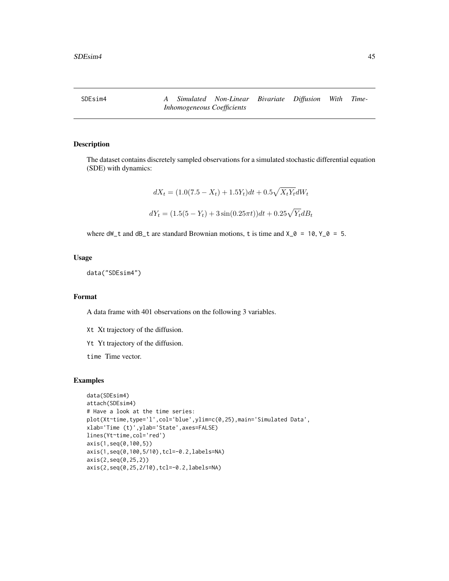<span id="page-44-0"></span>SDEsim4 *A Simulated Non-Linear Bivariate Diffusion With Time-Inhomogeneous Coefficients*

# Description

The dataset contains discretely sampled observations for a simulated stochastic differential equation (SDE) with dynamics:

$$
dX_t = (1.0(7.5 - X_t) + 1.5Y_t)dt + 0.5\sqrt{X_tY_t}dW_t
$$
  

$$
dY_t = (1.5(5 - Y_t) + 3\sin(0.25\pi t))dt + 0.25\sqrt{Y_t}dB_t
$$

where  $dW_t$  and  $dB_t$  are standard Brownian motions, t is time and  $X_0 = 10$ ,  $Y_0 = 5$ .

# Usage

data("SDEsim4")

# Format

A data frame with 401 observations on the following 3 variables.

- Xt Xt trajectory of the diffusion.
- Yt Yt trajectory of the diffusion.
- time Time vector.

```
data(SDEsim4)
attach(SDEsim4)
# Have a look at the time series:
plot(Xt~time,type='l',col='blue',ylim=c(0,25),main='Simulated Data',
xlab='Time (t)',ylab='State',axes=FALSE)
lines(Yt~time,col='red')
axis(1,seq(0,100,5))
axis(1,seq(0,100,5/10),tcl=-0.2,labels=NA)
axis(2,seq(0,25,2))
axis(2,seq(0,25,2/10),tcl=-0.2,labels=NA)
```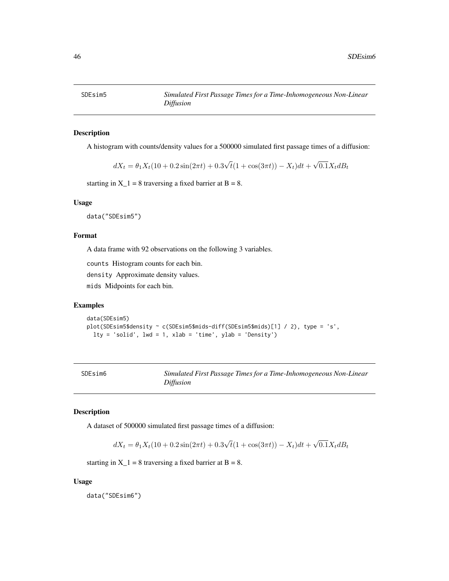<span id="page-45-0"></span>

# Description

A histogram with counts/density values for a 500000 simulated first passage times of a diffusion:

 $dX_t = \theta_1 X_t (10 + 0.2 \sin(2\pi t) + 0.3$ √  $t(1 + \cos(3\pi t)) - X_t)dt +$ √  $0.1X_t dB_t$ 

starting in  $X_1 = 8$  traversing a fixed barrier at  $B = 8$ .

#### Usage

data("SDEsim5")

#### Format

A data frame with 92 observations on the following 3 variables.

counts Histogram counts for each bin.

density Approximate density values.

mids Midpoints for each bin.

### Examples

```
data(SDEsim5)
plot(SDEsim5$density ~ c(SDEsim5$mids-diff(SDEsim5$mids)[1] / 2), type = 's',
 lty = 'solid', lwd = 1, xlab = 'time', ylab = 'Density')
```

| SDEsim6 |                                                                   |
|---------|-------------------------------------------------------------------|
|         | Simulated First Passage Times for a Time-Inhomogeneous Non-Linear |

# Description

A dataset of 500000 simulated first passage times of a diffusion:

*Diffusion*

$$
dX_t = \theta_1 X_t (10 + 0.2 \sin(2\pi t) + 0.3\sqrt{t}(1 + \cos(3\pi t)) - X_t)dt + \sqrt{0.1}X_t dB_t
$$

starting in  $X_1 = 8$  traversing a fixed barrier at  $B = 8$ .

#### Usage

data("SDEsim6")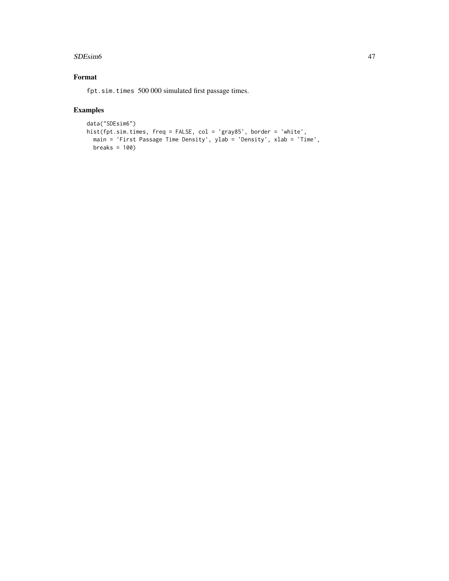#### $SDEsim6$  47

# Format

fpt.sim.times 500 000 simulated first passage times.

```
data("SDEsim6")
hist(fpt.sim.times, freq = FALSE, col = 'gray85', border = 'white',
 main = 'First Passage Time Density', ylab = 'Density', xlab = 'Time',
 breaks = 100)
```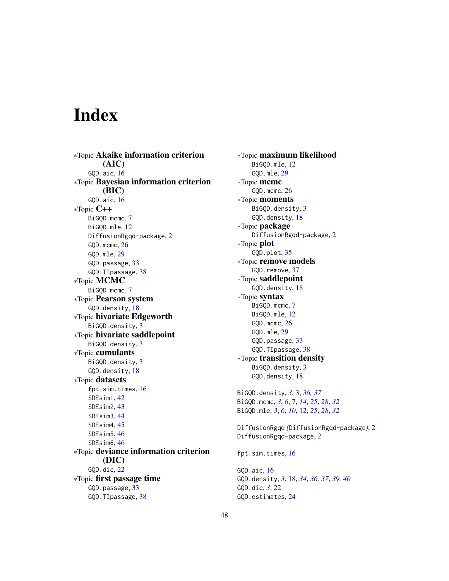# <span id="page-47-0"></span>Index

∗Topic Akaike information criterion (AIC) GQD.aic, [16](#page-15-0) ∗Topic Bayesian information criterion (BIC) GQD.aic, [16](#page-15-0) ∗Topic C++ BiGQD.mcmc, [7](#page-6-0) BiGQD.mle, [12](#page-11-0) DiffusionRgqd-package, [2](#page-1-0) GQD.mcmc, [26](#page-25-0) GQD.mle, [29](#page-28-0) GQD.passage, [33](#page-32-0) GQD.TIpassage, [38](#page-37-0) ∗Topic MCMC BiGQD.mcmc, [7](#page-6-0) ∗Topic Pearson system GQD.density, [18](#page-17-0) ∗Topic bivariate Edgeworth BiGQD.density, [3](#page-2-0) ∗Topic bivariate saddlepoint BiGQD.density, [3](#page-2-0) ∗Topic cumulants BiGQD.density, [3](#page-2-0) GQD.density, [18](#page-17-0) ∗Topic datasets fpt.sim.times, [16](#page-15-0) SDEsim1, [42](#page-41-0) SDEsim2, [43](#page-42-0) SDEsim3, [44](#page-43-0) SDEsim4, [45](#page-44-0) SDEsim5, [46](#page-45-0) SDEsim6, [46](#page-45-0) ∗Topic deviance information criterion (DIC) GQD.dic, [22](#page-21-0) ∗Topic first passage time GQD.passage, [33](#page-32-0) GQD.TIpassage, [38](#page-37-0)

∗Topic maximum likelihood BiGQD.mle, [12](#page-11-0) GQD.mle, [29](#page-28-0) ∗Topic mcmc GQD.mcmc, [26](#page-25-0) ∗Topic moments BiGQD.density, [3](#page-2-0) GQD.density, [18](#page-17-0) ∗Topic package DiffusionRgqd-package, [2](#page-1-0) ∗Topic plot GQD.plot, [35](#page-34-0) ∗Topic remove models GQD.remove, [37](#page-36-0) ∗Topic saddlepoint GQD.density, [18](#page-17-0) ∗Topic syntax BiGQD.mcmc, [7](#page-6-0) BiGQD.mle, [12](#page-11-0) GQD.mcmc, [26](#page-25-0) GQD.mle, [29](#page-28-0) GQD.passage, [33](#page-32-0) GQD.TIpassage, [38](#page-37-0) ∗Topic transition density BiGQD.density, [3](#page-2-0) GQD.density, [18](#page-17-0) BiGQD.density, *[3](#page-2-0)*, [3,](#page-2-0) *[36,](#page-35-0) [37](#page-36-0)* BiGQD.mcmc, *[3](#page-2-0)*, *[6](#page-5-0)*, [7,](#page-6-0) *[14](#page-13-0)*, *[25](#page-24-0)*, *[28](#page-27-0)*, *[32](#page-31-0)* BiGQD.mle, *[3](#page-2-0)*, *[6](#page-5-0)*, *[10](#page-9-0)*, [12,](#page-11-0) *[25](#page-24-0)*, *[28](#page-27-0)*, *[32](#page-31-0)* DiffusionRgqd *(*DiffusionRgqd-package*)*, [2](#page-1-0) DiffusionRgqd-package, [2](#page-1-0) fpt.sim.times, [16](#page-15-0) GQD.aic, [16](#page-15-0) GQD.density, *[3](#page-2-0)*, [18,](#page-17-0) *[34](#page-33-0)*, *[36,](#page-35-0) [37](#page-36-0)*, *[39,](#page-38-0) [40](#page-39-0)*

48

GQD.dic, *[3](#page-2-0)*, [22](#page-21-0)